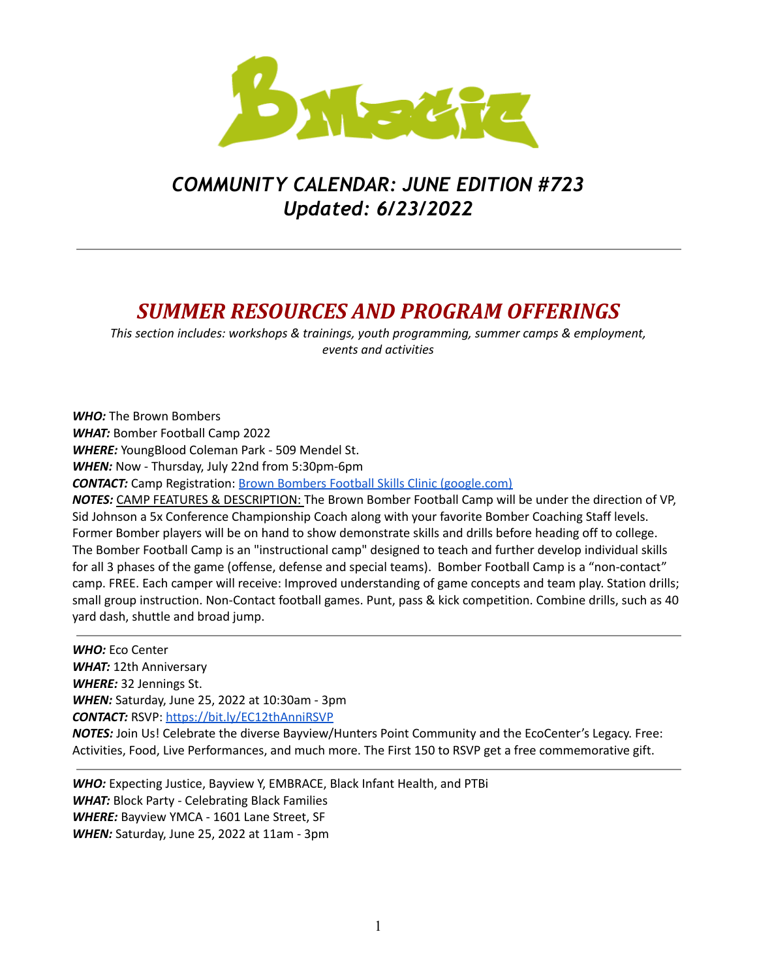

# *COMMUNITY CALENDAR: JUNE EDITION #723 Updated: 6/23/2022*

## *SUMMER RESOURCES AND PROGRAM OFFERINGS*

*This section includes: workshops & trainings, youth programming, summer camps & employment, events and activities*

*WHO:* The Brown Bombers *WHAT:* Bomber Football Camp 2022 *WHERE:* YoungBlood Coleman Park - 509 Mendel St. *WHEN:* Now - Thursday, July 22nd from 5:30pm-6pm **CONTACT:** Camp Registration: **Brown Bombers Football Skills Clinic [\(google.com\)](https://docs.google.com/forms/d/e/1FAIpQLSeS2kAtYLLl3nCTdFZptZY690m3y3uHhRSjZHRkOxOwiQ26hQ/viewform?vc=0&c=0&w=1&flr=0)** *NOTES:* CAMP FEATURES & DESCRIPTION: The Brown Bomber Football Camp will be under the direction of VP, Sid Johnson a 5x Conference Championship Coach along with your favorite Bomber Coaching Staff levels. Former Bomber players will be on hand to show demonstrate skills and drills before heading off to college. The Bomber Football Camp is an "instructional camp" designed to teach and further develop individual skills for all 3 phases of the game (offense, defense and special teams). Bomber Football Camp is a "non-contact" camp. FREE. Each camper will receive: Improved understanding of game concepts and team play. Station drills; small group instruction. Non-Contact football games. Punt, pass & kick competition. Combine drills, such as 40

yard dash, shuttle and broad jump. *WHO:* Eco Center *WHAT:* 12th Anniversary *WHERE:* 32 Jennings St. *WHEN:* Saturday, June 25, 2022 at 10:30am - 3pm *CONTACT:* RSVP: <https://bit.ly/EC12thAnniRSVP>

*NOTES:* Join Us! Celebrate the diverse Bayview/Hunters Point Community and the EcoCenter's Legacy. Free: Activities, Food, Live Performances, and much more. The First 150 to RSVP get a free commemorative gift.

*WHO:* Expecting Justice, Bayview Y, EMBRACE, Black Infant Health, and PTBi *WHAT:* Block Party - Celebrating Black Families *WHERE:* Bayview YMCA - 1601 Lane Street, SF *WHEN:* Saturday, June 25, 2022 at 11am - 3pm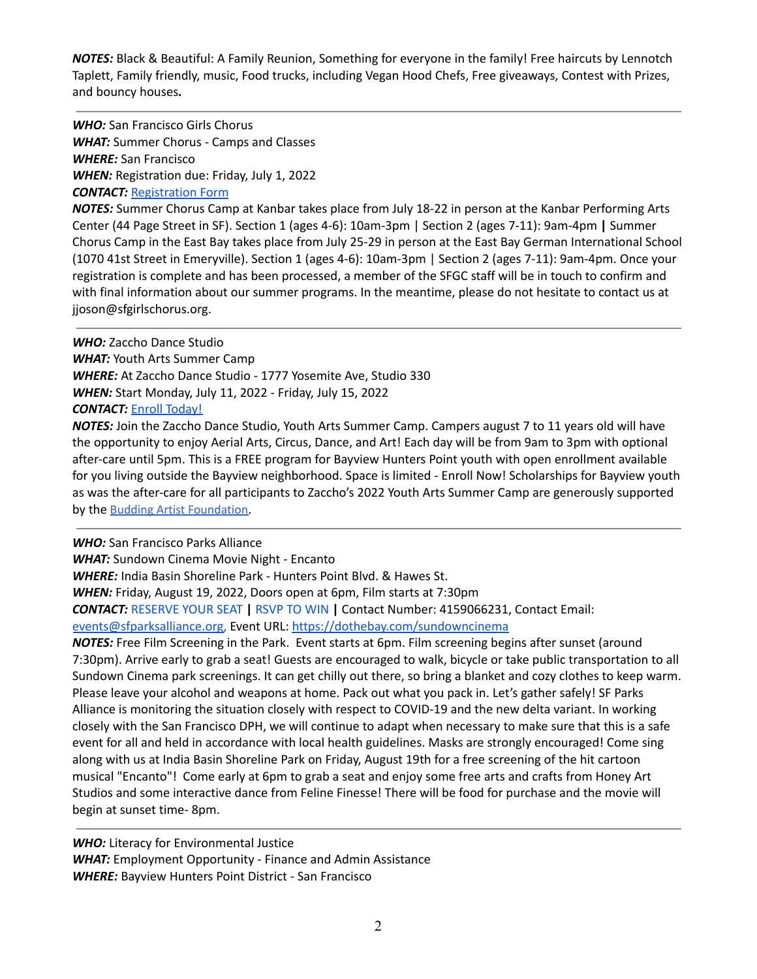*NOTES:* Black & Beautiful: A Family Reunion, Something for everyone in the family! Free haircuts by Lennotch Taplett, Family friendly, music, Food trucks, including Vegan Hood Chefs, Free giveaways, Contest with Prizes, and bouncy houses*.*

*WHO:* San Francisco Girls Chorus *WHAT:* Summer Chorus - Camps and Classes *WHERE:* San Francisco *WHEN:* Registration due: Friday, July 1, 2022 *CONTACT:* [Registration](https://sfgc.formstack.com/forms/sccreg2022) Form

*NOTES:* Summer Chorus Camp at Kanbar takes place from July 18-22 in person at the Kanbar Performing Arts Center (44 Page Street in SF). Section 1 (ages 4-6): 10am-3pm | Section 2 (ages 7-11): 9am-4pm **|** Summer Chorus Camp in the East Bay takes place from July 25-29 in person at the East Bay German International School (1070 41st Street in Emeryville). Section 1 (ages 4-6): 10am-3pm | Section 2 (ages 7-11): 9am-4pm. Once your registration is complete and has been processed, a member of the SFGC staff will be in touch to confirm and with final information about our summer programs. In the meantime, please do not hesitate to contact us at jjoson@sfgirlschorus.org.

*WHO:* Zaccho Dance Studio *WHAT:* Youth Arts Summer Camp *WHERE:* At Zaccho Dance Studio - 1777 Yosemite Ave, Studio 330 *WHEN:* Start Monday, July 11, 2022 - Friday, July 15, 2022 *CONTACT:* Enroll [Today!](https://r20.rs6.net/tn.jsp?f=001XrTr7-fwjPQ19dtFYMkr1af8eHGeiPlZ7xJmSQh7WMLnrLsKPSY0xhqeDf-BWDToQBCEUB7H9vbkWn21a9RLw_Y6H5P-svpusVzI5Ujcbx5iAM-ES2SWKat6BsKOc2gESukq69xYY8oK6dSoJUJBKwMJ0meuvk02pKZS1n6-tFU=&c=MP4BuYU1uSRmkcPbsDxDFqwNgDbH2kMu4NNHofRO-wG-i09OppWnPg==&ch=9OqmqcXROhUK2D26l31XWLs6vcut3s6BnfhoDsVvx6UjOoGkVBF0_w==)

*NOTES:* Join the Zaccho Dance Studio, Youth Arts Summer Camp. Campers august 7 to 11 years old will have the opportunity to enjoy Aerial Arts, Circus, Dance, and Art! Each day will be from 9am to 3pm with optional after-care until 5pm. This is a FREE program for Bayview Hunters Point youth with open enrollment available for you living outside the Bayview neighborhood. Space is limited - Enroll Now! Scholarships for Bayview youth as was the after-care for all participants to Zaccho's 2022 Youth Arts Summer Camp are generously supported by the [Budding Artist Foundation](https://r20.rs6.net/tn.jsp?f=001XrTr7-fwjPQ19dtFYMkr1af8eHGeiPlZ7xJmSQh7WMLnrLsKPSY0xhqeDf-BWDTo8vdRifsJ_LohdBp85BuTIkc2QbtFR9PCGKKXf1eln1J2alTmkT0ccsgNnRW-azzNpWnaX-4zMN5Ii_heRXybqA898C1lviQk76-f-hL8uvc=&c=MP4BuYU1uSRmkcPbsDxDFqwNgDbH2kMu4NNHofRO-wG-i09OppWnPg==&ch=9OqmqcXROhUK2D26l31XWLs6vcut3s6BnfhoDsVvx6UjOoGkVBF0_w==).

*WHO:* San Francisco Parks Alliance

*WHAT:* Sundown Cinema Movie Night - Encanto

*WHERE:* India Basin Shoreline Park - Hunters Point Blvd. & Hawes St.

*WHEN:* Friday, August 19, 2022, Doors open at 6pm, Film starts at 7:30pm

*CONTACT:* [RESERVE](https://info.sfparksalliance.org/e/883543/r-seating-sister-act-2-e405348/2dvsk5/276334258?h=NNGTAG0nb3_AHfQ2U7Ln1WRFaI5ceU191aBAMgywgfI) YOUR SEAT **|** RSVP TO WIN **|** Contact Number: [4159066231,](https://info.sfparksalliance.org/e/883543/sundowncinema/2dvsky/276334258?h=NNGTAG0nb3_AHfQ2U7Ln1WRFaI5ceU191aBAMgywgfI) Contact Email:

[events@sfparksalliance.org,](mailto:events@sfparksalliance.org) [Event](https://info.sfparksalliance.org/e/883543/sundowncinema/2dvsky/276334258?h=NNGTAG0nb3_AHfQ2U7Ln1WRFaI5ceU191aBAMgywgfI) URL: <https://dothebay.com/sundowncinema>

*NOTES:* Free Film Screening in the Park. Event starts at 6pm. Film screening begins after sunset (around 7:30pm). Arrive early to grab a seat! Guests are encouraged to walk, bicycle or take public transportation to all Sundown Cinema park screenings. It can get chilly out there, so bring a blanket and cozy clothes to keep warm. Please leave your alcohol and weapons at home. Pack out what you pack in. Let's gather safely! SF Parks Alliance is monitoring the situation closely with respect to COVID-19 and the new delta variant. In working closely with the San Francisco DPH, we will continue to adapt when necessary to make sure that this is a safe event for all and held in accordance with local health guidelines. Masks are strongly encouraged! Come sing along with us at India Basin Shoreline Park on Friday, August 19th for a free screening of the hit cartoon musical "Encanto"! Come early at 6pm to grab a seat and enjoy some free arts and crafts from Honey Art Studios and some interactive dance from Feline Finesse! There will be food for purchase and the movie will begin at sunset time- 8pm.

*WHO:* Literacy for Environmental Justice *WHAT:* Employment Opportunity - Finance and Admin Assistance *WHERE:* Bayview Hunters Point District - San Francisco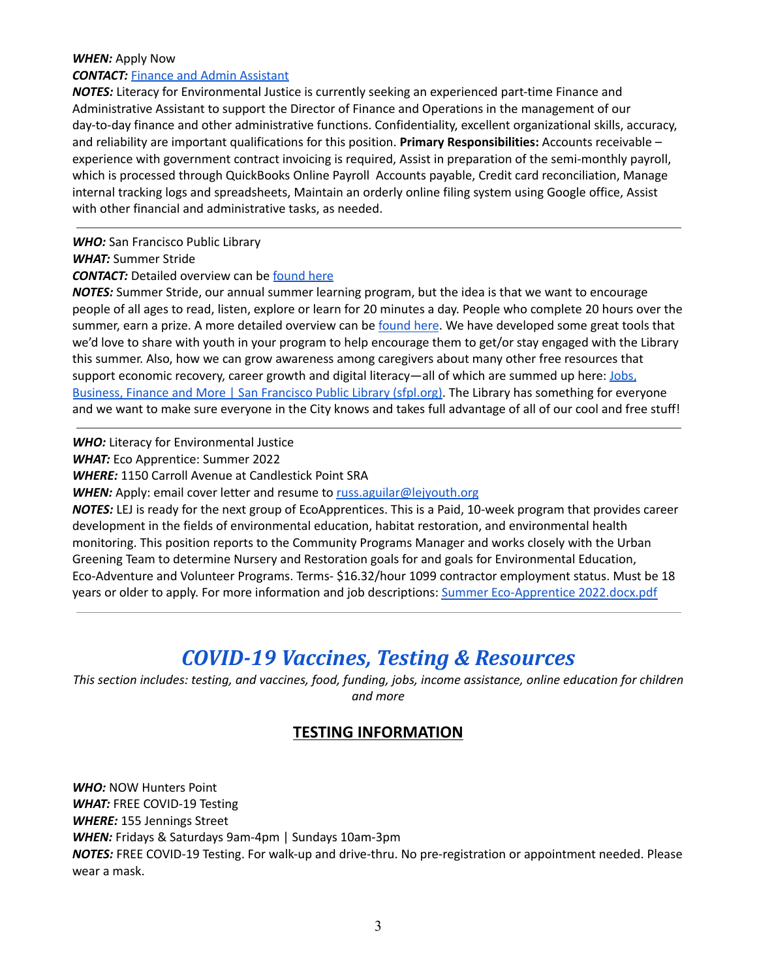#### *WHEN:* Apply Now

#### **CONTACT:** Finance and Admin [Assistant](https://docs.google.com/document/d/1XYB7E1gR9kpkreuBqESfe2eRirMbl5Pa/edit)

*NOTES:* Literacy for Environmental Justice is currently seeking an experienced part-time Finance and Administrative Assistant to support the Director of Finance and Operations in the management of our day-to-day finance and other administrative functions. Confidentiality, excellent organizational skills, accuracy, and reliability are important qualifications for this position. **Primary Responsibilities:** Accounts receivable – experience with government contract invoicing is required, Assist in preparation of the semi-monthly payroll, which is processed through QuickBooks Online Payroll Accounts payable, Credit card reconciliation, Manage internal tracking logs and spreadsheets, Maintain an orderly online filing system using Google office, Assist with other financial and administrative tasks, as needed.

#### *WHO:* San Francisco Public Library

*WHAT:* Summer Stride

#### **CONTACT:** Detailed overview can be [found](https://url.avanan.click/v2/___https:/sfpl.org/events/special-programs/summer-stride-2022___.YXAzOnNmZHQyOmE6bzpjMGZjZmNlM2MwMDZiNzkwNGRkNDQwZDY3ZGY5ZmQwNzo2OmQwYzc6MzkxZDQ5MWE2Yzk2NWU3YmU5NjE3ZTBlMTI2OTUwN2ZmMjBhMDc0NjU1MjY3MjQ1ZmFmMDViYjRiODM0MTk1ZjpoOlQ) here

*NOTES:* Summer Stride, our annual summer learning program, but the idea is that we want to encourage people of all ages to read, listen, explore or learn for 20 minutes a day. People who complete 20 hours over the summer, earn a prize. A more detailed overview can be [found](https://url.avanan.click/v2/___https:/sfpl.org/events/special-programs/summer-stride-2022___.YXAzOnNmZHQyOmE6bzpjMGZjZmNlM2MwMDZiNzkwNGRkNDQwZDY3ZGY5ZmQwNzo2OmQwYzc6MzkxZDQ5MWE2Yzk2NWU3YmU5NjE3ZTBlMTI2OTUwN2ZmMjBhMDc0NjU1MjY3MjQ1ZmFmMDViYjRiODM0MTk1ZjpoOlQ) here. We have developed some great tools that we'd love to share with youth in your program to help encourage them to get/or stay engaged with the Library this summer. Also, how we can grow awareness among caregivers about many other free resources that support economic recovery, career growth and digital literacy—all of which are summed up here: [Jobs,](https://url.avanan.click/v2/___https:/sfpl.org/locations/main-library/business-science-technology/jobs-business-finance-and-more___.YXAzOnNmZHQyOmE6bzpjMGZjZmNlM2MwMDZiNzkwNGRkNDQwZDY3ZGY5ZmQwNzo2OmJiOTc6NWI3ZmQ1MDZjODkyYzFiNjcyMDMyNmJhNTZhZDQyMmY5NWQ5ZTczZjRmN2UyMmZkMDBjMTMwNmY4NGRiNDlhNTpoOlQ) Business, Finance and More | San [Francisco](https://url.avanan.click/v2/___https:/sfpl.org/locations/main-library/business-science-technology/jobs-business-finance-and-more___.YXAzOnNmZHQyOmE6bzpjMGZjZmNlM2MwMDZiNzkwNGRkNDQwZDY3ZGY5ZmQwNzo2OmJiOTc6NWI3ZmQ1MDZjODkyYzFiNjcyMDMyNmJhNTZhZDQyMmY5NWQ5ZTczZjRmN2UyMmZkMDBjMTMwNmY4NGRiNDlhNTpoOlQ) Public Library (sfpl.org). The Library has something for everyone and we want to make sure everyone in the City knows and takes full advantage of all of our cool and free stuff!

*WHO:* Literacy for Environmental Justice

*WHAT:* Eco Apprentice: Summer 2022

*WHERE:* 1150 Carroll Avenue at Candlestick Point SRA

*WHEN:* Apply: email cover letter and resume to [russ.aguilar@lejyouth.org](mailto:russ.aguilar@lejyouth.org)

*NOTES:* LEJ is ready for the next group of EcoApprentices. This is a Paid, 10-week program that provides career development in the fields of environmental education, habitat restoration, and environmental health monitoring. This position reports to the Community Programs Manager and works closely with the Urban Greening Team to determine Nursery and Restoration goals for and goals for Environmental Education, Eco-Adventure and Volunteer Programs. Terms- \$16.32/hour 1099 contractor employment status. Must be 18 years or older to apply. For more information and job descriptions: Summer [Eco-Apprentice](https://mail.google.com/mail/u/0?ui=2&ik=b835b3706e&attid=0.1&permmsgid=msg-f:1732484223866912449&th=180b0538f68e3ec1&view=att&disp=inline&realattid=f_l30rgvk61) 2022.docx.pdf

## *COVID-19 Vaccines, Testing & Resources*

*This section includes: testing, and vaccines, food, funding, jobs, income assistance, online education for children and more*

### **TESTING INFORMATION**

*WHO:* NOW Hunters Point *WHAT:* FREE COVID-19 Testing *WHERE:* 155 Jennings Street *WHEN:* Fridays & Saturdays 9am-4pm | Sundays 10am-3pm *NOTES:* FREE COVID-19 Testing. For walk-up and drive-thru. No pre-registration or appointment needed. Please wear a mask.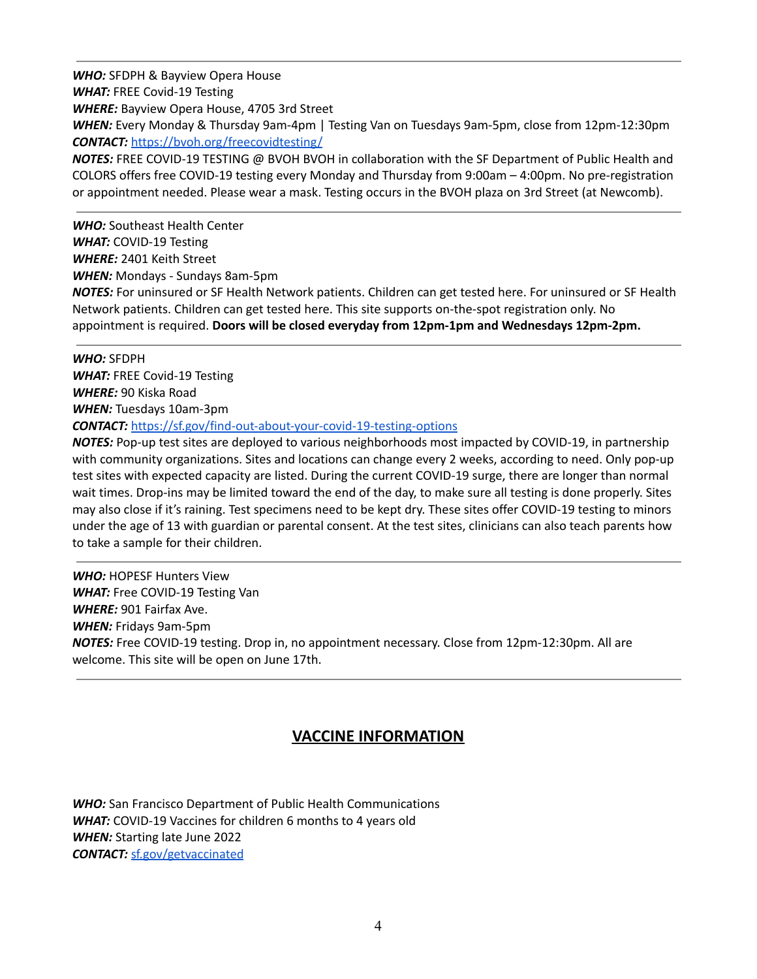*WHO:* SFDPH & Bayview Opera House *WHAT:* FREE Covid-19 Testing *WHERE:* Bayview Opera House, 4705 3rd Street *WHEN:* Every Monday & Thursday 9am-4pm | Testing Van on Tuesdays 9am-5pm, close from 12pm-12:30pm *CONTACT:* <https://bvoh.org/freecovidtesting/> *NOTES:* FREE COVID-19 TESTING @ BVOH BVOH in collaboration with the SF Department of Public Health and

COLORS offers free COVID-19 testing every Monday and Thursday from 9:00am – 4:00pm. No pre-registration or appointment needed. Please wear a mask. Testing occurs in the BVOH plaza on 3rd Street (at Newcomb).

*WHO:* Southeast Health Center *WHAT:* COVID-19 Testing *WHERE:* 2401 Keith Street *WHEN:* Mondays - Sundays 8am-5pm

*NOTES:* For uninsured or SF Health Network patients. Children can get tested here. For uninsured or SF Health Network patients. Children can get tested here. This site supports on-the-spot registration only. No appointment is required. **Doors will be closed everyday from 12pm-1pm and Wednesdays 12pm-2pm.**

*WHO:* SFDPH *WHAT:* FREE Covid-19 Testing *WHERE:* 90 Kiska Road *WHEN:* Tuesdays 10am-3pm *CONTACT:* <https://sf.gov/find-out-about-your-covid-19-testing-options>

*NOTES:* Pop-up test sites are deployed to various neighborhoods most impacted by COVID-19, in partnership with community organizations. Sites and locations can change every 2 weeks, according to need. Only pop-up test sites with expected capacity are listed. During the current COVID-19 surge, there are longer than normal wait times. Drop-ins may be limited toward the end of the day, to make sure all testing is done properly. Sites may also close if it's raining. Test specimens need to be kept dry. These sites offer COVID-19 testing to minors under the age of 13 with guardian or parental consent. At the test sites, clinicians can also teach parents how to take a sample for their children.

*WHO:* HOPESF Hunters View *WHAT:* Free COVID-19 Testing Van *WHERE:* 901 Fairfax Ave. *WHEN:* Fridays 9am-5pm *NOTES:* Free COVID-19 testing. Drop in, no appointment necessary. Close from 12pm-12:30pm. All are welcome. This site will be open on June 17th.

### **VACCINE INFORMATION**

*WHO:* San Francisco Department of Public Health Communications *WHAT:* COVID-19 Vaccines for children 6 months to 4 years old *WHEN:* Starting late June 2022 *CONTACT:* [sf.gov/getvaccinated](http://sf.gov/getvaccinated)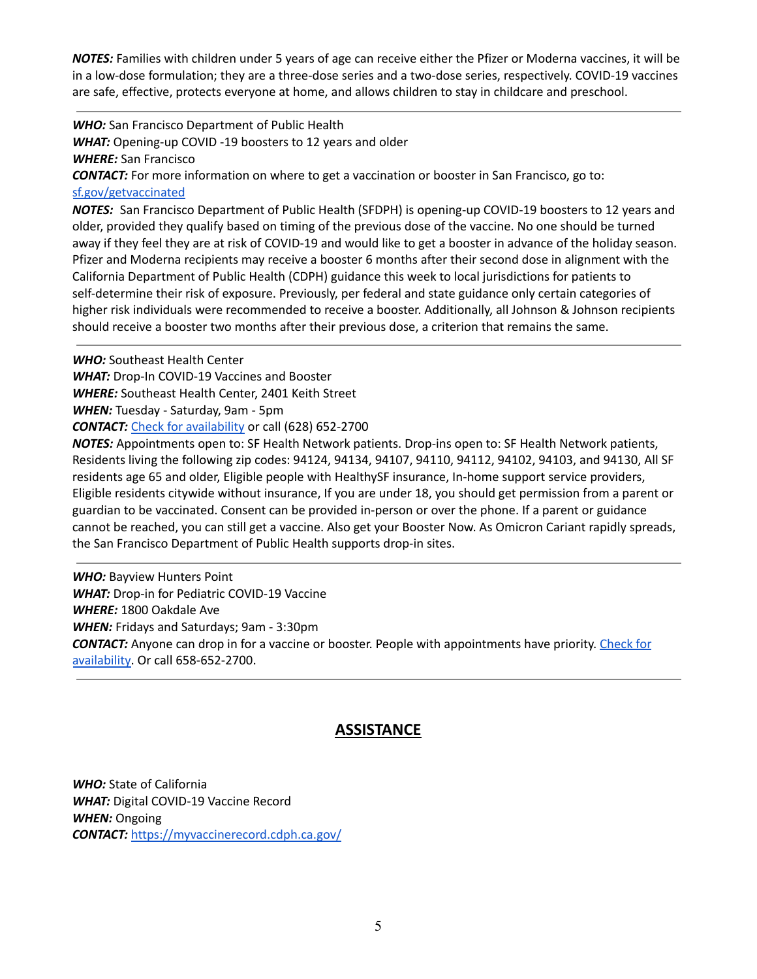*NOTES:* Families with children under 5 years of age can receive either the Pfizer or Moderna vaccines, it will be in a low-dose formulation; they are a three-dose series and a two-dose series, respectively. COVID-19 vaccines are safe, effective, protects everyone at home, and allows children to stay in childcare and preschool.

*WHO:* San Francisco Department of Public Health *WHAT:* Opening-up COVID -19 boosters to 12 years and older *WHERE:* San Francisco *CONTACT:* For more information on where to get a vaccination or booster in San Francisco, go to: [sf.gov/getvaccinated](http://sf.gov/getvaccinated)

*NOTES:* San Francisco Department of Public Health (SFDPH) is opening-up COVID-19 boosters to 12 years and older, provided they qualify based on timing of the previous dose of the vaccine. No one should be turned away if they feel they are at risk of COVID-19 and would like to get a booster in advance of the holiday season. Pfizer and Moderna recipients may receive a booster 6 months after their second dose in alignment with the California Department of Public Health (CDPH) guidance this week to local jurisdictions for patients to self-determine their risk of exposure. Previously, per federal and state guidance only certain categories of higher risk individuals were recommended to receive a booster. Additionally, all Johnson & Johnson recipients should receive a booster two months after their previous dose, a criterion that remains the same.

*WHO:* Southeast Health Center

*WHAT:* Drop-In COVID-19 Vaccines and Booster

*WHERE:* Southeast Health Center, 2401 Keith Street

*WHEN:* Tuesday - Saturday, 9am - 5pm

*CONTACT:* Check for [availability](https://my.primary.health/r/ccsf_southeast_health_center?registration_type=default) or call (628) 652-2700

*NOTES:* Appointments open to: SF Health Network patients. Drop-ins open to: SF Health Network patients, Residents living the following zip codes: 94124, 94134, 94107, 94110, 94112, 94102, 94103, and 94130, All SF residents age 65 and older, Eligible people with HealthySF insurance, In-home support service providers, Eligible residents citywide without insurance, If you are under 18, you should get permission from a parent or guardian to be vaccinated. Consent can be provided in-person or over the phone. If a parent or guidance cannot be reached, you can still get a vaccine. Also get your Booster Now. As Omicron Cariant rapidly spreads, the San Francisco Department of Public Health supports drop-in sites.

*WHO:* Bayview Hunters Point *WHAT:* Drop-in for Pediatric COVID-19 Vaccine *WHERE:* 1800 Oakdale Ave *WHEN:* Fridays and Saturdays; 9am - 3:30pm **CONTACT:** Anyone can drop in for a vaccine or booster. People with appointments have priority. [Check](https://www.primarybio.com/r/ccsf_southeast?registration_type=oakdale_sfgov) for [availability.](https://www.primarybio.com/r/ccsf_southeast?registration_type=oakdale_sfgov) Or call 658-652-2700.

### **ASSISTANCE**

*WHO:* State of California *WHAT:* Digital COVID-19 Vaccine Record *WHEN:* Ongoing *CONTACT:* <https://myvaccinerecord.cdph.ca.gov/>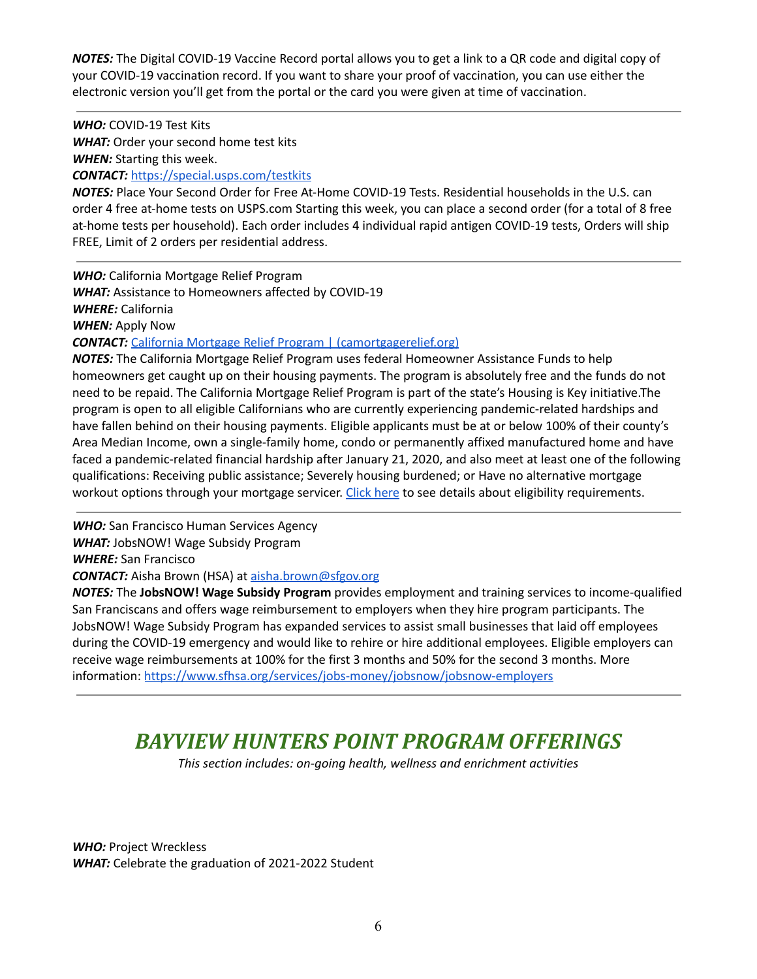*NOTES:* The Digital COVID-19 Vaccine Record portal allows you to get a link to a QR code and digital copy of your COVID-19 vaccination record. If you want to share your proof of vaccination, you can use either the electronic version you'll get from the portal or the card you were given at time of vaccination.

*WHO:* COVID-19 Test Kits *WHAT:* Order your second home test kits *WHEN:* Starting this week.

*CONTACT:* <https://special.usps.com/testkits>

*NOTES:* Place Your Second Order for Free At-Home COVID-19 Tests. Residential households in the U.S. can order 4 free at-home tests on USPS.com Starting this week, you can place a second order (for a total of 8 free at-home tests per household). Each order includes 4 individual rapid antigen COVID-19 tests, Orders will ship FREE, Limit of 2 orders per residential address.

*WHO:* California Mortgage Relief Program *WHAT:* Assistance to Homeowners affected by COVID-19 *WHERE:* California *WHEN:* Apply Now **CONTACT:** California Mortgage Relief Program | [\(camortgagerelief.org\)](https://camortgagerelief.org/)

*NOTES:* The California Mortgage Relief Program uses federal Homeowner Assistance Funds to help homeowners get caught up on their housing payments. The program is absolutely free and the funds do not need to be repaid. The California Mortgage Relief Program is part of the state's Housing is Key initiative.The program is open to all eligible Californians who are currently experiencing pandemic-related hardships and have fallen behind on their housing payments. Eligible applicants must be at or below 100% of their county's Area Median Income, own a single-family home, condo or permanently affixed manufactured home and have faced a pandemic-related financial hardship after January 21, 2020, and also meet at least one of the following qualifications: Receiving public assistance; Severely housing burdened; or Have no alternative mortgage workout options through your mortgage servicer. [Click](https://calhfa-prod.onair-gov.osaas.app/eligibility-navigator/#/) here to see details about eligibility requirements.

*WHO:* San Francisco Human Services Agency *WHAT:* JobsNOW! Wage Subsidy Program *WHERE:* San Francisco *CONTACT:* Aisha Brown (HSA) at [aisha.brown@sfgov.org](mailto:aisha.brown@sfgov.org)

*NOTES:* The **JobsNOW! Wage Subsidy Program** provides employment and training services to income-qualified San Franciscans and offers wage reimbursement to employers when they hire program participants. The JobsNOW! Wage Subsidy Program has expanded services to assist small businesses that laid off employees during the COVID-19 emergency and would like to rehire or hire additional employees. Eligible employers can receive wage reimbursements at 100% for the first 3 months and 50% for the second 3 months. More information: [https://www.sfhsa.org/services/jobs-money/jobsnow/jobsnow-employers](https://avanan.url-protection.com/v1/url?o=https%3A//www.sfhsa.org/services/jobs-money/jobsnow/jobsnow-employers&g=Y2VmYWYzYTdkZWM2MzU4Mw==&h=M2Q1ZGUwNjFmZWJmZWViYzNlOTVmYTU4MGE5ZDIxODM5NzFhYWIzOGMzYWNmNDBiMDQ4OWM0NTQ0MGZmMzMxYg==&p=YXAzOnNmZHQyOmF2YW5hbjpvOjQwZmZjYTcwMjg2MjcwY2I2OGVmYzZlYTkzMTA4N2E0OnYx)

# *BAYVIEW HUNTERS POINT PROGRAM OFFERINGS*

*This section includes: on-going health, wellness and enrichment activities*

*WHO:* Project Wreckless *WHAT:* Celebrate the graduation of 2021-2022 Student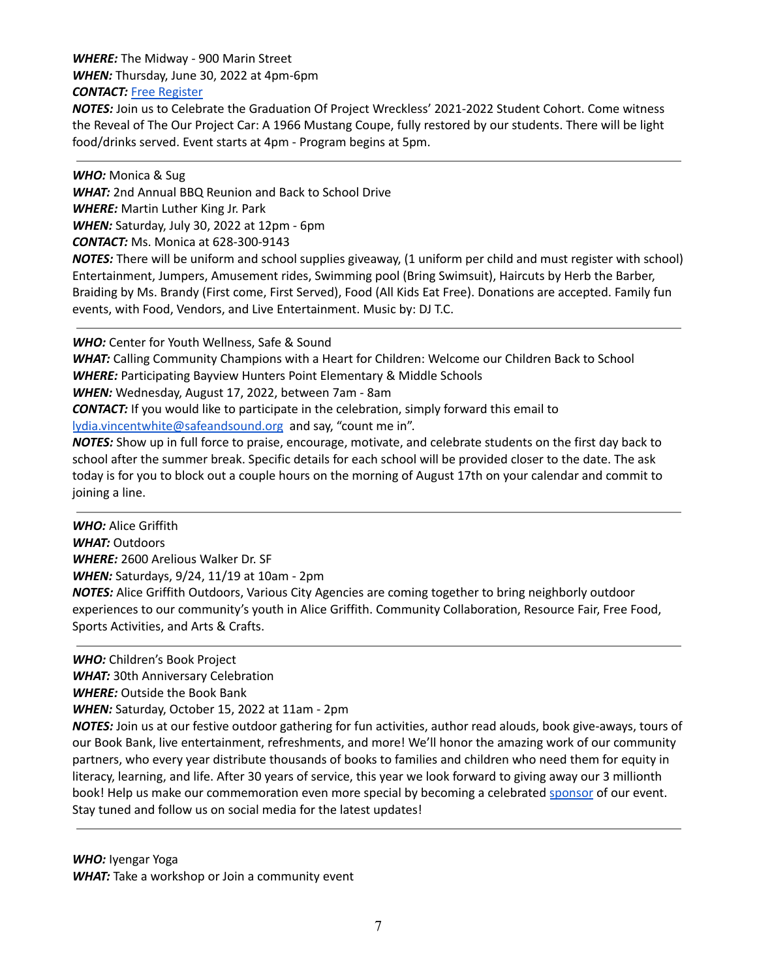#### *WHERE:* The Midway - 900 Marin Street

*WHEN:* Thursday, June 30, 2022 at 4pm-6pm

#### *CONTACT:* Free [Register](https://www.eventbrite.com/e/project-wreckless-2022-graduation-tickets-348341337317?utm_source=8%2F21+Community+Email+list&utm_campaign=9db335d657-EMAIL_CAMPAIGN_2022_06_13_11_04&utm_medium=email&utm_term=0_8538bf0056-9db335d657-453245862)

*NOTES:* Join us to Celebrate the Graduation Of Project Wreckless' 2021-2022 Student Cohort. Come witness the Reveal of The Our Project Car: A 1966 Mustang Coupe, fully restored by our students. There will be light food/drinks served. Event starts at 4pm - Program begins at 5pm.

*WHO:* Monica & Sug

*WHAT:* 2nd Annual BBQ Reunion and Back to School Drive

*WHERE:* Martin Luther King Jr. Park

*WHEN:* Saturday, July 30, 2022 at 12pm - 6pm

*CONTACT:* Ms. Monica at 628-300-9143

*NOTES:* There will be uniform and school supplies giveaway, (1 uniform per child and must register with school) Entertainment, Jumpers, Amusement rides, Swimming pool (Bring Swimsuit), Haircuts by Herb the Barber, Braiding by Ms. Brandy (First come, First Served), Food (All Kids Eat Free). Donations are accepted. Family fun events, with Food, Vendors, and Live Entertainment. Music by: DJ T.C.

*WHO:* Center for Youth Wellness, Safe & Sound

*WHAT:* Calling Community Champions with a Heart for Children: Welcome our Children Back to School *WHERE:* Participating Bayview Hunters Point Elementary & Middle Schools

*WHEN:* Wednesday, August 17, 2022, between 7am - 8am

*CONTACT:* If you would like to participate in the celebration, simply forward this email to [lydia.vincentwhite@safeandsound.org](mailto:lydia.vincentwhite@safeandsound.org) and say, "count me in".

*NOTES:* Show up in full force to praise, encourage, motivate, and celebrate students on the first day back to school after the summer break. Specific details for each school will be provided closer to the date. The ask today is for you to block out a couple hours on the morning of August 17th on your calendar and commit to joining a line.

*WHO:* Alice Griffith *WHAT:* Outdoors *WHERE:* 2600 Arelious Walker Dr. SF *WHEN:* Saturdays, 9/24, 11/19 at 10am - 2pm *NOTES:* Alice Griffith Outdoors, Various City Agencies are coming together to bring neighborly outdoor experiences to our community's youth in Alice Griffith. Community Collaboration, Resource Fair, Free Food, Sports Activities, and Arts & Crafts.

*WHO:* Children's Book Project

*WHAT:* 30th Anniversary Celebration

*WHERE:* Outside the Book Bank

*WHEN:* Saturday, October 15, 2022 at 11am - 2pm

*NOTES:* Join us at our festive outdoor gathering for fun activities, author read alouds, book give-aways, tours of our Book Bank, live entertainment, refreshments, and more! We'll honor the amazing work of our community partners, who every year distribute thousands of books to families and children who need them for equity in literacy, learning, and life. After 30 years of service, this year we look forward to giving away our 3 millionth book! Help us make our commemoration even more special by becoming a celebrated [sponsor](https://r20.rs6.net/tn.jsp?f=001_I7OeLnk7FLOfvMkdsOj-6u2ukTgV0BV1AHyCZV2xOfMJRdPxAPE6nIn2r8kSVQ1eGk3wxks7PcqptF9GTD__c2x20O72L5FDgAJr-JtFamc-S9kfm82ro8YN0W0FgEEdzvhdmWbjSb3CsYNq3H0Fo0yDCcDeRz9n1pTrSCYObXn83opxsp-KP8sZN6t1IitVJqZyppbS2CN5Z4dQFBaOsCVX77uLSvIc6U3guuYBHGpvQJRoWksreM4Lj4vCMmcUBGjvaYzj88=&c=WetQ3F844peW6BI42BPutWjuRtVNIRaEOZybjYNSN3ZJ-cXm7-EAVw==&ch=KdlxE7NtXXaoFjxJ8-eFW3dmpeMxLdT87fHtCJ1pF5mRV-qOyZZaZQ==) of our event. Stay tuned and follow us on social media for the latest updates!

*WHO:* Iyengar Yoga *WHAT:* Take a workshop or Join a community event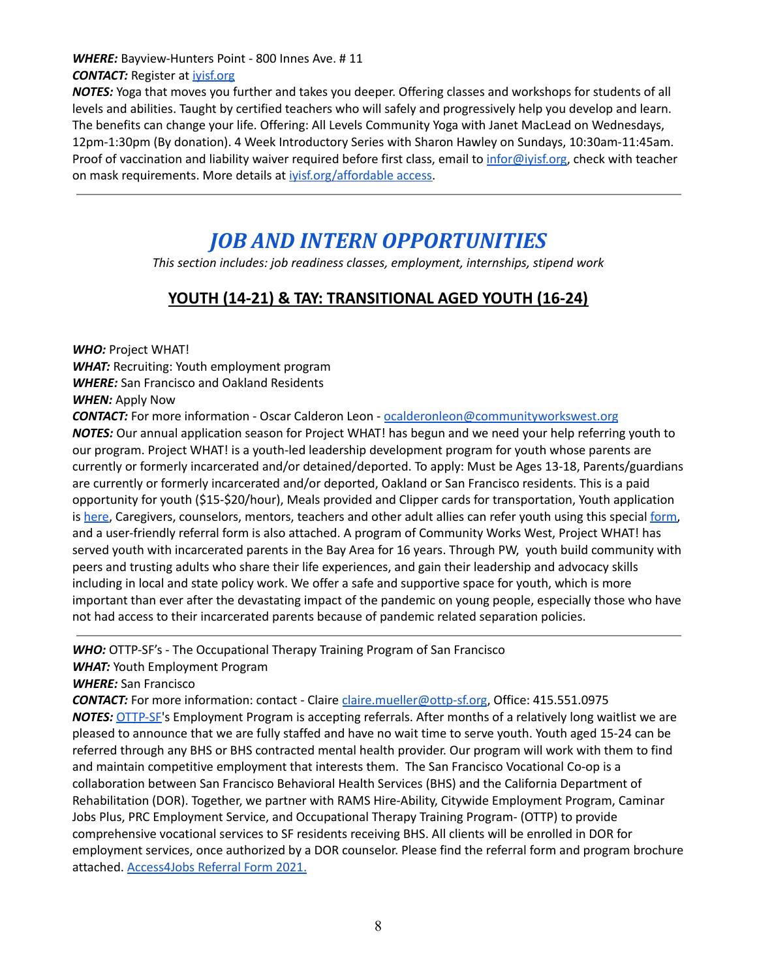#### *WHERE:* Bayview-Hunters Point - 800 Innes Ave. # 11 **CONTACT:** Register at *ivisf.org*

*NOTES:* Yoga that moves you further and takes you deeper. Offering classes and workshops for students of all levels and abilities. Taught by certified teachers who will safely and progressively help you develop and learn. The benefits can change your life. Offering: All Levels Community Yoga with Janet MacLead on Wednesdays, 12pm-1:30pm (By donation). 4 Week Introductory Series with Sharon Hawley on Sundays, 10:30am-11:45am. Proof of vaccination and liability waiver required before first class, email to [infor@iyisf.org,](mailto:infor@iyisf.org) check with teacher on mask requirements. More details at ivisf.org/affordable access.

## *JOB AND INTERN OPPORTUNITIES*

*This section includes: job readiness classes, employment, internships, stipend work*

### **YOUTH (14-21) & TAY: TRANSITIONAL AGED YOUTH (16-24)**

*WHO:* Project WHAT!

*WHAT:* Recruiting: Youth employment program *WHERE:* San Francisco and Oakland Residents *WHEN:* Apply Now

*CONTACT:* For more information - Oscar Calderon Leon - [ocalderonleon@communityworkswest.org](mailto:ocalderonleon@communityworkswest.org) *NOTES:* Our annual application season for Project WHAT! has begun and we need your help referring youth to our program. Project WHAT! is a youth-led leadership development program for youth whose parents are currently or formerly incarcerated and/or detained/deported. To apply: Must be Ages 13-18, Parents/guardians are currently or formerly incarcerated and/or deported, Oakland or San Francisco residents. This is a paid opportunity for youth (\$15-\$20/hour), Meals provided and Clipper cards for transportation, Youth application is [here](https://communityworkswest.org/program/project-what/?subpage=apply-to-project-what), Caregivers, counselors, mentors, teachers and other adult allies can refer youth using this special [form,](https://docs.google.com/forms/d/e/1FAIpQLSeEVF2FZG_SsWkpAXTxdzcLDISVfHiY87rf1X2uO3_miA_R-Q/viewform) and a user-friendly referral form is also attached. A program of Community Works West, Project WHAT! has served youth with incarcerated parents in the Bay Area for 16 years. Through PW, youth build community with peers and trusting adults who share their life experiences, and gain their leadership and advocacy skills including in local and state policy work. We offer a safe and supportive space for youth, which is more important than ever after the devastating impact of the pandemic on young people, especially those who have not had access to their incarcerated parents because of pandemic related separation policies.

*WHO:* OTTP-SF's - The Occupational Therapy Training Program of San Francisco

*WHAT:* Youth Employment Program

*WHERE:* San Francisco

**CONTACT:** For more information: contact - Claire [claire.mueller@ottp-sf.org](mailto:claire.mueller@ottp-sf.org), Office: 415.551.0975 *NOTES:* [OTTP-SF](http://www.ottp-sf.org/)'s Employment Program is accepting referrals. After months of a relatively long waitlist we are pleased to announce that we are fully staffed and have no wait time to serve youth. Youth aged 15-24 can be referred through any BHS or BHS contracted mental health provider. Our program will work with them to find and maintain competitive employment that interests them. The San Francisco Vocational Co-op is a collaboration between San Francisco Behavioral Health Services (BHS) and the California Department of Rehabilitation (DOR). Together, we partner with RAMS Hire-Ability, Citywide Employment Program, Caminar Jobs Plus, PRC Employment Service, and Occupational Therapy Training Program- (OTTP) to provide comprehensive vocational services to SF residents receiving BHS. All clients will be enrolled in DOR for employment services, once authorized by a DOR counselor. Please find the referral form and program brochure attached. [Access4Jobs](https://mail.google.com/mail/u/0?ui=2&ik=b835b3706e&attid=0.2&permmsgid=msg-f:1732580354444286490&th=180b5ca71b78da1a&view=att&disp=inline) Referral Form 2021.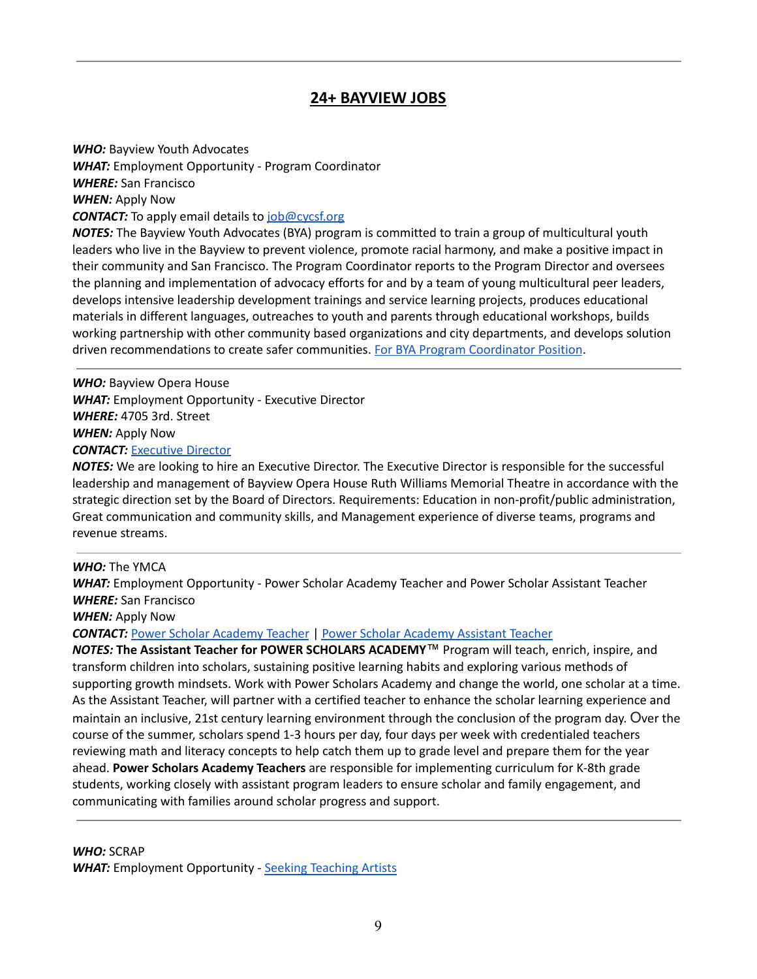### **24+ BAYVIEW JOBS**

*WHO:* Bayview Youth Advocates *WHAT:* Employment Opportunity - Program Coordinator *WHERE:* San Francisco *WHEN:* Apply Now **CONTACT:** To apply email details to [job@cycsf.org](mailto:job@cycsf.org) *NOTES:* The Bayview Youth Advocates (BYA) program is committed to train a group of multicultural youth leaders who live in the Bayview to prevent violence, promote racial harmony, and make a positive impact in their community and San Francisco. The Program Coordinator reports to the Program Director and oversees

the planning and implementation of advocacy efforts for and by a team of young multicultural peer leaders, develops intensive leadership development trainings and service learning projects, produces educational materials in different languages, outreaches to youth and parents through educational workshops, builds working partnership with other community based organizations and city departments, and develops solution driven recommendations to create safer communities. For BYA Program [Coordinator](https://www.cycsf.org/job/program-coordinator-bayview-youth-advocates/) Position.

*WHO:* Bayview Opera House *WHAT:* Employment Opportunity - Executive Director *WHERE:* 4705 3rd. Street *WHEN:* Apply Now *CONTACT:* [Executive](https://bvoh.org/bvoh-job-opening-executive-director/) Director

*NOTES:* We are looking to hire an Executive Director. The Executive Director is responsible for the successful leadership and management of Bayview Opera House Ruth Williams Memorial Theatre in accordance with the strategic direction set by the Board of Directors. Requirements: Education in non-profit/public administration, Great communication and community skills, and Management experience of diverse teams, programs and revenue streams.

#### *WHO:* The YMCA

*WHAT:* Employment Opportunity - Power Scholar Academy Teacher and Power Scholar Assistant Teacher *WHERE:* San Francisco

*WHEN:* Apply Now

*CONTACT:* Power Scholar [Academy](https://www.ymcasf.org/about/careers/jobs/power-scholars-academy-teacher) Teacher | Power Scholar [Academy](https://www.ymcasf.org/about/careers/jobs/power-scholars-academy-assistant-teacher) Assistant Teacher

*NOTES:* **The Assistant Teacher for POWER SCHOLARS ACADEMY**™ Program will teach, enrich, inspire, and transform children into scholars, sustaining positive learning habits and exploring various methods of supporting growth mindsets. Work with Power Scholars Academy and change the world, one scholar at a time. As the Assistant Teacher, will partner with a certified teacher to enhance the scholar learning experience and maintain an inclusive, 21st century learning environment through the conclusion of the program day. Over the course of the summer, scholars spend 1-3 hours per day, four days per week with credentialed teachers reviewing math and literacy concepts to help catch them up to grade level and prepare them for the year ahead. **Power Scholars Academy Teachers** are responsible for implementing curriculum for K-8th grade students, working closely with assistant program leaders to ensure scholar and family engagement, and communicating with families around scholar progress and support.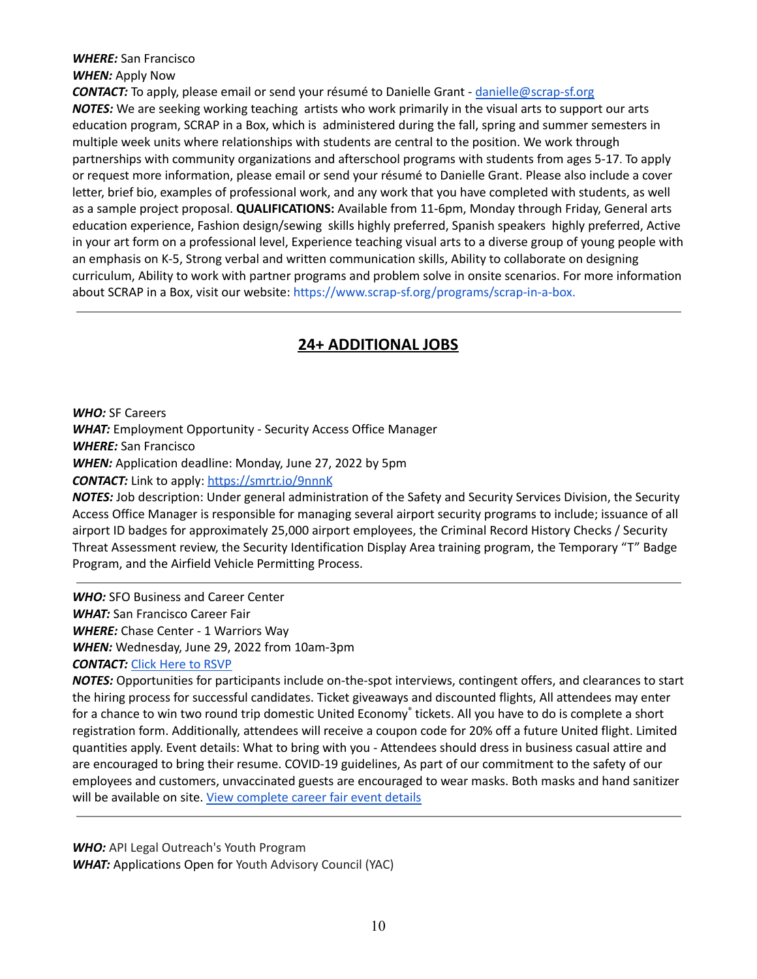#### *WHERE:* San Francisco *WHEN:* Apply Now

*CONTACT:* To apply, please email or send your résumé to Danielle Grant - [danielle@scrap-sf.org](mailto:danielle@scrap-sf.org) *NOTES:* We are seeking working teaching artists who work primarily in the visual arts to support our arts education program, SCRAP in a Box, which is administered during the fall, spring and summer semesters in multiple week units where relationships with students are central to the position. We work through partnerships with community organizations and afterschool programs with students from ages 5-17. To apply or request more information, please email or send your résumé to Danielle Grant. Please also include a cover letter, brief bio, examples of professional work, and any work that you have completed with students, as well as a sample project proposal. **QUALIFICATIONS:** Available from 11-6pm, Monday through Friday, General arts education experience, Fashion design/sewing skills highly preferred, Spanish speakers highly preferred, Active in your art form on a professional level, Experience teaching visual arts to a diverse group of young people with an emphasis on K-5, Strong verbal and written communication skills, Ability to collaborate on designing curriculum, Ability to work with partner programs and problem solve in onsite scenarios. For more information about SCRAP in a Box, visit our website: <https://www.scrap-sf.org/programs/scrap-in-a-box>.

### **24+ ADDITIONAL JOBS**

*WHO:* SF Careers *WHAT:* Employment Opportunity - Security Access Office Manager *WHERE:* San Francisco *WHEN:* Application deadline: Monday, June 27, 2022 by 5pm *CONTACT:* Link to apply: <https://smrtr.io/9nnnK>

*NOTES:* Job description: Under general administration of the Safety and Security Services Division, the Security Access Office Manager is responsible for managing several airport security programs to include; issuance of all airport ID badges for approximately 25,000 airport employees, the Criminal Record History Checks / Security Threat Assessment review, the Security Identification Display Area training program, the Temporary "T" Badge Program, and the Airfield Vehicle Permitting Process.

*WHO:* SFO Business and Career Center *WHAT:* San Francisco Career Fair *WHERE:* Chase Center - 1 Warriors Way *WHEN:* Wednesday, June 29, 2022 from 10am-3pm *CONTACT:* Click Here to [RSVP](https://socialresponsibilitycommunitysustainabilitysfo.cmail19.com/t/j-l-vafhy-wdtldohj-y/)

*NOTES:* Opportunities for participants include on-the-spot interviews, contingent offers, and clearances to start the hiring process for successful candidates. Ticket giveaways and discounted flights, All attendees may enter for a chance to win two round trip domestic United Economy ® tickets. All you have to do is complete a short registration form. Additionally, attendees will receive a coupon code for 20% off a future United flight. Limited quantities apply. Event details: What to bring with you - Attendees should dress in business casual attire and are encouraged to bring their resume. COVID-19 guidelines, As part of our commitment to the safety of our employees and customers, unvaccinated guests are encouraged to wear masks. Both masks and hand sanitizer will be available on site. View [complete](https://socialresponsibilitycommunitysustainabilitysfo.cmail19.com/t/j-l-vafhy-wdtldohj-j/) career fair event details

*WHO:* API Legal Outreach's Youth Program *WHAT:* Applications Open for Youth Advisory Council (YAC)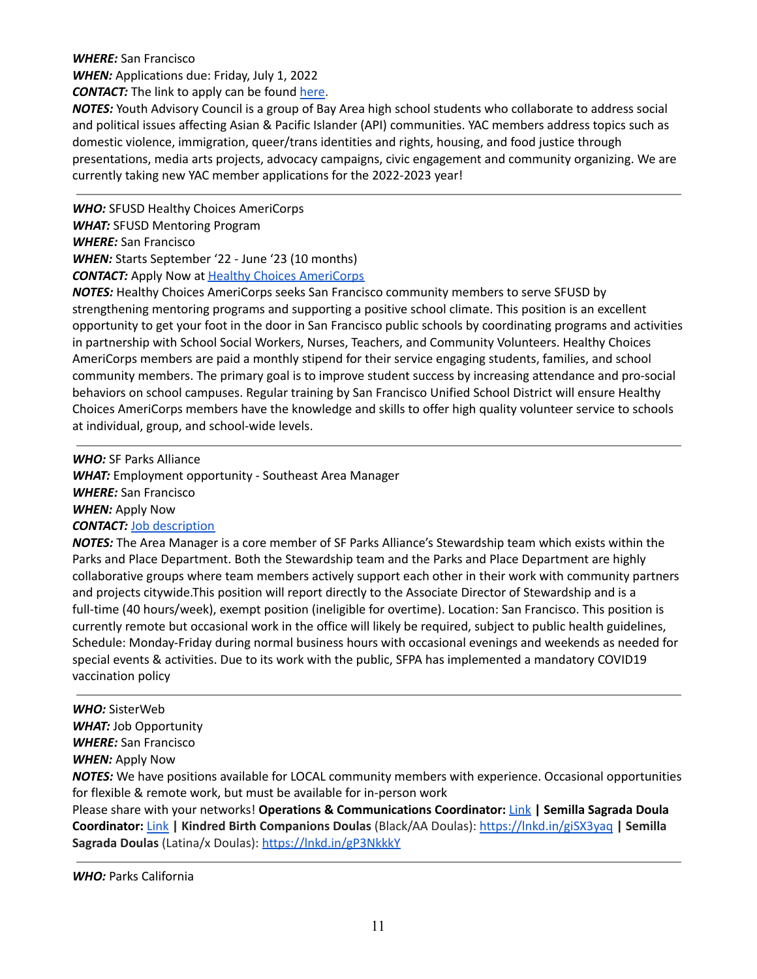#### *WHERE:* San Francisco *WHEN:* Applications due: Friday, July 1, 2022 *CONTACT:* The link to apply can be found [here.](https://docs.google.com/forms/d/e/1FAIpQLScJhJGb5qX74b9-_LP8A3qxhy22nhL_ne_NsfypluljGE83MA/viewform)

*NOTES:* Youth Advisory Council is a group of Bay Area high school students who collaborate to address social and political issues affecting Asian & Pacific Islander (API) communities. YAC members address topics such as domestic violence, immigration, queer/trans identities and rights, housing, and food justice through presentations, media arts projects, advocacy campaigns, civic engagement and community organizing. We are currently taking new YAC member applications for the 2022-2023 year!

*WHO:* SFUSD Healthy Choices AmeriCorps *WHAT:* SFUSD Mentoring Program *WHERE:* San Francisco *WHEN:* Starts September '22 - June '23 (10 months) **CONTACT:** Apply Now at **Healthy Choices [AmeriCorps](https://my.americorps.gov/mp/listing/viewListing.do?id=86338&fromSearch=true)** 

*NOTES:* Healthy Choices AmeriCorps seeks San Francisco community members to serve SFUSD by strengthening mentoring programs and supporting a positive school climate. This position is an excellent opportunity to get your foot in the door in San Francisco public schools by coordinating programs and activities in partnership with School Social Workers, Nurses, Teachers, and Community Volunteers. Healthy Choices AmeriCorps members are paid a monthly stipend for their service engaging students, families, and school community members. The primary goal is to improve student success by increasing attendance and pro-social behaviors on school campuses. Regular training by San Francisco Unified School District will ensure Healthy Choices AmeriCorps members have the knowledge and skills to offer high quality volunteer service to schools at individual, group, and school-wide levels.

*WHO:* SF Parks Alliance *WHAT:* Employment opportunity - Southeast Area Manager *WHERE:* San Francisco *WHEN:* Apply Now *CONTACT:* Job [description](https://recruiting.paylocity.com/Recruiting/Jobs/Details/1005239)

*NOTES:* The Area Manager is a core member of SF Parks Alliance's Stewardship team which exists within the Parks and Place Department. Both the Stewardship team and the Parks and Place Department are highly collaborative groups where team members actively support each other in their work with community partners and projects citywide.This position will report directly to the Associate Director of Stewardship and is a full-time (40 hours/week), exempt position (ineligible for overtime). Location: San Francisco. This position is currently remote but occasional work in the office will likely be required, subject to public health guidelines, Schedule: Monday-Friday during normal business hours with occasional evenings and weekends as needed for special events & activities. Due to its work with the public, SFPA has implemented a mandatory COVID19 vaccination policy

### *WHO:* SisterWeb *WHAT:* Job Opportunity *WHERE:* San Francisco *WHEN:* Apply Now

*NOTES:* We have positions available for LOCAL community members with experience. Occasional opportunities for flexible & remote work, but must be available for in-person work

Please share with your networks! **Operations & Communications Coordinator:** [Link](https://recruiting2.ultipro.com/PUB1001PUBH/JobBoard/6705aa07-0bcb-4660-ad1b-2fda952becc7/OpportunityDetail?opportunityId=849f357d-c93f-4bec-acd0-4b0708d11610) **| Semilla Sagrada Doula Coordinator:** [Link](https://recruiting2.ultipro.com/PUB1001PUBH/JobBoard/6705aa07-0bcb-4660-ad1b-2fda952becc7/OpportunityDetail?opportunityId=9e337c63-e7e7-4500-82a2-a8b31b223332) **| Kindred Birth Companions Doulas** (Black/AA Doulas): <https://lnkd.in/giSX3yaq> **| Semilla Sagrada Doulas** (Latina/x Doulas): <https://lnkd.in/gP3NkkkY>

*WHO:* Parks California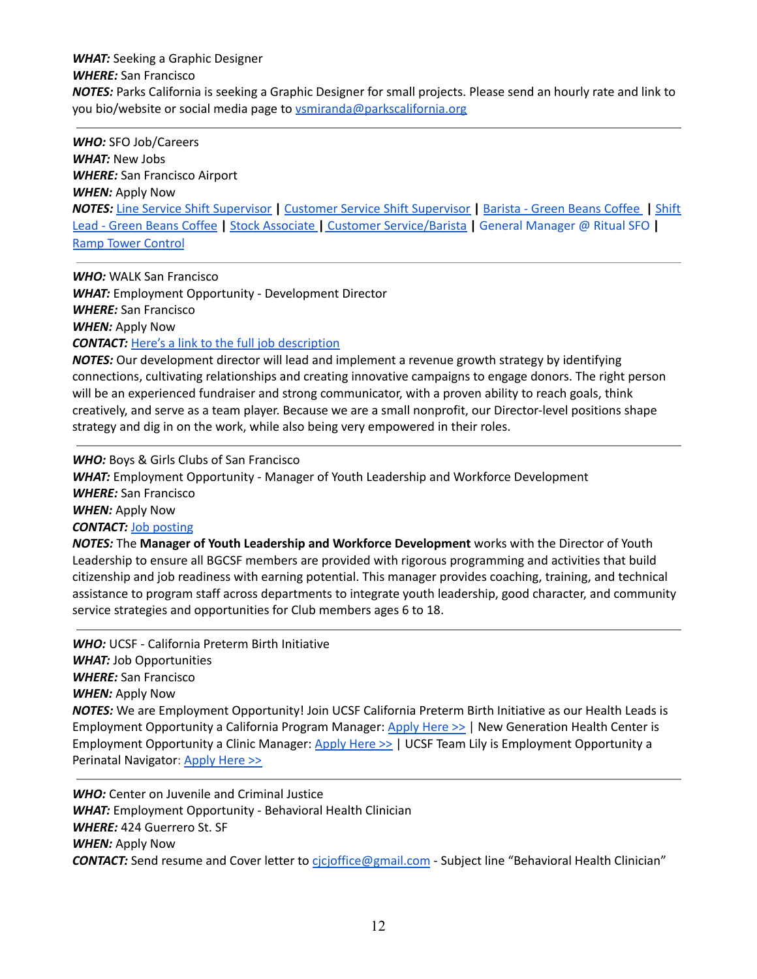*WHAT:* Seeking a Graphic Designer *WHERE:* San Francisco *NOTES:* Parks California is seeking a Graphic Designer for small projects. Please send an hourly rate and link to you bio/website or social media page to [vsmiranda@parkscalifornia.org](mailto:vsmiranda@parkscalifornia.org)

*WHO:* SFO Job/Careers *WHAT:* New Jobs *WHERE:* San Francisco Airport *WHEN:* Apply Now *NOTES:* Line Service Shift [Supervisor](https://socialresponsibilitycommunitysustainabilitysfo.cmail20.com/t/j-l-vlikhjk-wdtldohj-y/) **|** Customer Service Shift [Supervisor](https://socialresponsibilitycommunitysustainabilitysfo.cmail20.com/t/j-l-vlikhjk-wdtldohj-j/) **|** [Barista](https://socialresponsibilitycommunitysustainabilitysfo.cmail20.com/t/j-l-vlikhjk-wdtldohj-t/) - Green Beans Coffee **|** [Shift](https://socialresponsibilitycommunitysustainabilitysfo.cmail20.com/t/j-l-vlikhjk-wdtldohj-h/) Lead - Green Beans [Coffee](https://socialresponsibilitycommunitysustainabilitysfo.cmail20.com/t/j-l-vlikhjk-wdtldohj-h/) **|** Stock [Associate](https://socialresponsibilitycommunitysustainabilitysfo.cmail20.com/t/j-l-vlikhjk-wdtldohj-k/) **|** Customer [Service/Barista](https://socialresponsibilitycommunitysustainabilitysfo.cmail20.com/t/j-l-vlikhjk-wdtldohj-b/) **|** General [Manager](https://socialresponsibilitycommunitysustainabilitysfo.cmail20.com/t/j-l-vlikhjk-wdtldohj-n/) @ Ritual SFO **|** Ramp Tower [Control](https://socialresponsibilitycommunitysustainabilitysfo.cmail20.com/t/j-l-vlikhjk-wdtldohj-p/)

*WHO:* WALK San Francisco *WHAT:* Employment Opportunity - Development Director *WHERE:* San Francisco *WHEN:* Apply Now *CONTACT:* Here's a link to the full job [description](https://walksf.org/wp-content/uploads/2022/05/development-director-job-posting-may-2022-updated.pdf)

*NOTES:* Our development director will lead and implement a revenue growth strategy by identifying connections, cultivating relationships and creating innovative campaigns to engage donors. The right person will be an experienced fundraiser and strong communicator, with a proven ability to reach goals, think creatively, and serve as a team player. Because we are a small nonprofit, our Director-level positions shape strategy and dig in on the work, while also being very empowered in their roles.

*WHO:* Boys & Girls Clubs of San Francisco *WHAT:* Employment Opportunity - Manager of Youth Leadership and Workforce Development *WHERE:* San Francisco *WHEN:* Apply Now *CONTACT:* Job [posting](https://www.glassdoor.com/job-listing/manager-of-youth-leadership-and-workforce-development-boys-and-girls-clubs-of-san-francisco-JV_IC1147401_KO0,53_KE54,91.htm?jl=1007756572538&utm_campaign=google_jobs_apply&utm_source=google_jobs_apply&utm_medium=organic) *NOTES:* The **Manager of Youth Leadership and Workforce Development** works with the Director of Youth

Leadership to ensure all BGCSF members are provided with rigorous programming and activities that build citizenship and job readiness with earning potential. This manager provides coaching, training, and technical assistance to program staff across departments to integrate youth leadership, good character, and community service strategies and opportunities for Club members ages 6 to 18.

*WHO:* UCSF - California Preterm Birth Initiative *WHAT:* Job Opportunities *WHERE:* San Francisco *WHEN:* Apply Now *NOTES:* We are Employment Opportunity! Join UCSF California Preterm Birth Initiative as our Health Leads is Employment Opportunity a California Program Manager: [Apply](https://urldefense.com/v3/__https://r20.rs6.net/tn.jsp?f=001ZxMelYs4Qf43EzE3VL7Ley0rfD85n6OKPgHsbqKjuuD4cgwqnkYoGpEcuEyEOlysE67xTb9UkiO0Tal-htWJzLFvPkuHkezmPz4NwiZrsznAQiLk7Dg048cu33f-rc6W8eV2Ak8VSRqJpvNjs2sq3WQ_4HIq_X1igUTV3qP9n4DTIwVDOIb7fMJTzhi3dkwAlV_MDKOCl84cchs5i-ky3b8CimMJ-lgScljifilE56LaRjLllcEocieWQPSL6Wnu7lZ2RyFVk6qx_AfA09ukiKTPq9jpxmugCZHCiOv8siZPhD63i9B-D5GkzGylVaRjeo1_ftTBgeizttwKkv4H3e7owkOnKk0i&c=wbVYJX7w56dHkfAguEw_nHQslLxSdfY8Mf4FsS_xZ89ZBnns9rvjzQ==&ch=zERHtIDHS1gTi0_ED81o8Vcypnc4qigcR270KLMEjbAgpX91G1VNJA==__;!!LQC6Cpwp!uIJr_2vLuS5EEpHm3LHzsSU3zTB8cPcDiaH7hu94Vw0kt7g0zGyk1VHgxEP1Hm9h2pXUP9-XpDqeyg7GXAVBW1YoWa4YfA$) Here >> | New Generation Health Center is Employment Opportunity a Clinic Manager: [Apply](https://urldefense.com/v3/__https://r20.rs6.net/tn.jsp?f=001ZxMelYs4Qf43EzE3VL7Ley0rfD85n6OKPgHsbqKjuuD4cgwqnkYoGpEcuEyEOlysC2b2r6jKeXwRrR0LDfTws34KEhCPhC9A_5PmVNuioFvW0UDjaUppCGRhY6fgxgw8EcirrMYoFUrr3TKry7EDYE5kipeowIW20Ob10d1a3L9B5F0qsZfga_8IYT7QPOsADpMQDWdab0iVgteVLyqbmcXn15JqxSvtPSO4am-ULLWLvDq_MycFcfpN22TgRv49uYv1iIDdPW41xm7jNeM7XnXZN0d1SvhkUIn8P8uocjcybAYLSo8whyFIuY2_GM_b6z9z0Ph2ZE3O5nQQ2PJcfw==&c=wbVYJX7w56dHkfAguEw_nHQslLxSdfY8Mf4FsS_xZ89ZBnns9rvjzQ==&ch=zERHtIDHS1gTi0_ED81o8Vcypnc4qigcR270KLMEjbAgpX91G1VNJA==__;!!LQC6Cpwp!uIJr_2vLuS5EEpHm3LHzsSU3zTB8cPcDiaH7hu94Vw0kt7g0zGyk1VHgxEP1Hm9h2pXUP9-XpDqeyg7GXAVBW1Z9SyphWg$) Here >> | UCSF Team Lily is Employment Opportunity a Perinatal Navigator: [Apply](https://urldefense.com/v3/__https://r20.rs6.net/tn.jsp?f=001ZxMelYs4Qf43EzE3VL7Ley0rfD85n6OKPgHsbqKjuuD4cgwqnkYoGpEcuEyEOlysvFEt4XetP4zcmFygYRE4aDOQblXIrzorY5lKIXoXRlNVtp6OyOs9QxdbKxToPri3wDc0mAvPvWAwN-zAEO-dGjcs6pgGaTXkLdfW6JzPu0puLoXlrxEE1TNMs6VlqhwQngl8L6J6QaxdMOeyme28BGPee_JTW8Nuqwol2kjHYDkNIRwhDXfjWZOn9RLxN1dobwrIS3-okS-uSpcWtPPGZXKvonqcV1AeSqjYzixif5a2HD31Nm-_DwzeSll_C-wEc1cGs9vNMZ6da1dTsASs2A==&c=wbVYJX7w56dHkfAguEw_nHQslLxSdfY8Mf4FsS_xZ89ZBnns9rvjzQ==&ch=zERHtIDHS1gTi0_ED81o8Vcypnc4qigcR270KLMEjbAgpX91G1VNJA==__;!!LQC6Cpwp!uIJr_2vLuS5EEpHm3LHzsSU3zTB8cPcDiaH7hu94Vw0kt7g0zGyk1VHgxEP1Hm9h2pXUP9-XpDqeyg7GXAVBW1Y6dU6AtA$) Here >>

*WHO:* Center on Juvenile and Criminal Justice *WHAT:* Employment Opportunity - Behavioral Health Clinician *WHERE:* 424 Guerrero St. SF *WHEN:* Apply Now *CONTACT:* Send resume and Cover letter to [cjcjoffice@gmail.com](mailto:cjcjoffice@gmail.com) - Subject line "Behavioral Health Clinician"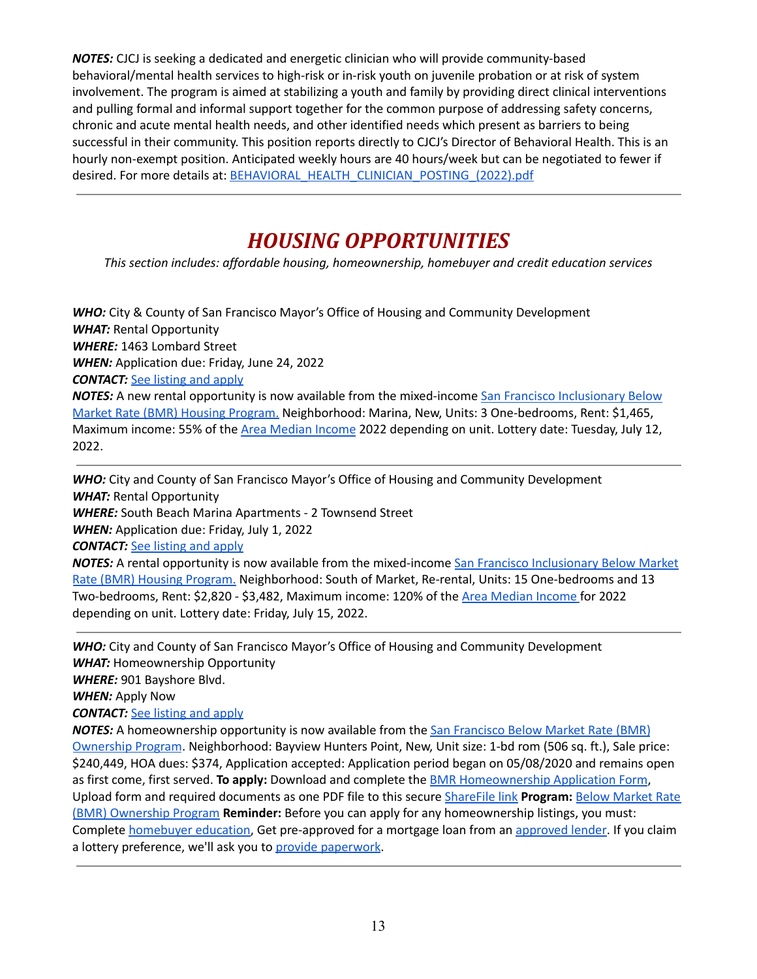*NOTES:* CJCJ is seeking a dedicated and energetic clinician who will provide community-based behavioral/mental health services to high-risk or in-risk youth on juvenile probation or at risk of system involvement. The program is aimed at stabilizing a youth and family by providing direct clinical interventions and pulling formal and informal support together for the common purpose of addressing safety concerns, chronic and acute mental health needs, and other identified needs which present as barriers to being successful in their community. This position reports directly to CJCJ's Director of Behavioral Health. This is an hourly non-exempt position. Anticipated weekly hours are 40 hours/week but can be negotiated to fewer if desired. For more details at: [BEHAVIORAL\\_HEALTH\\_CLINICIAN\\_POSTING\\_\(2022\).pdf](https://mail.google.com/mail/u/0?ui=2&ik=b835b3706e&attid=0.1&permmsgid=msg-f:1729289134218849920&th=17ffab4e2f0eae80&view=att&disp=inline&realattid=f_l1cgepmn0)

# *HOUSING OPPORTUNITIES*

*This section includes: affordable housing, homeownership, homebuyer and credit education services*

*WHO:* City & County of San Francisco Mayor's Office of Housing and Community Development *WHAT:* Rental Opportunity *WHERE:* 1463 Lombard Street *WHEN:* Application due: Friday, June 24, 2022 *CONTACT:* See [listing](https://citycountyofsanfranciscomayorsofficeofhousingandcommunitydevelo.cmail20.com/t/y-l-bhkjke-itdyhtiuhk-j/) and apply *NOTES:* A new rental opportunity is now available from the mixed-income San Francisco [Inclusionary](https://citycountyofsanfranciscomayorsofficeofhousingandcommunitydevelo.cmail20.com/t/y-l-bhkjke-itdyhtiuhk-r/) Below Market Rate (BMR) Housing [Program.](https://citycountyofsanfranciscomayorsofficeofhousingandcommunitydevelo.cmail20.com/t/y-l-bhkjke-itdyhtiuhk-r/) Neighborhood: Marina, New, Units: 3 One-bedrooms, Rent: \$1,465, Maximum income: 55% of the Area [Median](https://citycountyofsanfranciscomayorsofficeofhousingandcommunitydevelo.cmail20.com/t/y-l-bhkjke-itdyhtiuhk-y/) Income 2022 depending on unit. Lottery date: Tuesday, July 12, 2022.

*WHO:* City and County of San Francisco Mayor's Office of Housing and Community Development *WHAT:* Rental Opportunity *WHERE:* South Beach Marina Apartments - 2 Townsend Street *WHEN:* Application due: Friday, July 1, 2022 *CONTACT:* See [listing](https://citycountyofsanfranciscomayorsofficeofhousingandcommunitydevelo.cmail20.com/t/y-l-bkryhit-itdyhtaut-j/) and apply *NOTES:* A rental opportunity is now available from the mixed-income San Francisco [Inclusionary](https://citycountyofsanfranciscomayorsofficeofhousingandcommunitydevelo.cmail20.com/t/y-l-bkryhit-itdyhtaut-r/) Below Market

Rate (BMR) Housing [Program.](https://citycountyofsanfranciscomayorsofficeofhousingandcommunitydevelo.cmail20.com/t/y-l-bkryhit-itdyhtaut-r/) Neighborhood: South of Market, Re-rental, Units: 15 One-bedrooms and 13 Two-bedrooms, Rent: \$2,820 - \$3,482, Maximum income: 120% of the Area [Median](https://citycountyofsanfranciscomayorsofficeofhousingandcommunitydevelo.cmail20.com/t/y-l-bkryhit-itdyhtaut-y/) Income for 2022 depending on unit. Lottery date: Friday, July 15, 2022.

*WHO:* City and County of San Francisco Mayor's Office of Housing and Community Development *WHAT:* Homeownership Opportunity

*WHERE:* 901 Bayshore Blvd.

*WHEN:* Apply Now

*CONTACT:* See [listing](https://citycountyofsanfranciscomayorsofficeofhousingandcommunitydevelo.cmail20.com/t/y-l-bithrtl-itdyhtiuhk-d/) and apply

*NOTES:* A homeownership opportunity is now available from the San [Francisco](https://citycountyofsanfranciscomayorsofficeofhousingandcommunitydevelo.cmail20.com/t/y-l-bithrtl-itdyhtiuhk-r/) Below Market Rate (BMR) [Ownership](https://citycountyofsanfranciscomayorsofficeofhousingandcommunitydevelo.cmail20.com/t/y-l-bithrtl-itdyhtiuhk-r/) Program. Neighborhood: Bayview Hunters Point, New, Unit size: 1-bd rom (506 sq. ft.), Sale price: \$240,449, HOA dues: \$374, Application accepted: Application period began on 05/08/2020 and remains open as first come, first served. **To apply:** Download and complete the BMR [Homeownership](https://citycountyofsanfranciscomayorsofficeofhousingandcommunitydevelo.cmail20.com/t/y-l-bithrtl-itdyhtiuhk-j/) Application Form, Upload form and required documents as one PDF file to this secure [ShareFile](https://citycountyofsanfranciscomayorsofficeofhousingandcommunitydevelo.cmail20.com/t/y-l-bithrtl-itdyhtiuhk-t/) link **Program:** Below [Market](https://citycountyofsanfranciscomayorsofficeofhousingandcommunitydevelo.cmail20.com/t/y-l-bithrtl-itdyhtiuhk-i/) Rate (BMR) [Ownership](https://citycountyofsanfranciscomayorsofficeofhousingandcommunitydevelo.cmail20.com/t/y-l-bithrtl-itdyhtiuhk-i/) Program **Reminder:** Before you can apply for any homeownership listings, you must: Complete [homebuyer](https://citycountyofsanfranciscomayorsofficeofhousingandcommunitydevelo.cmail20.com/t/y-l-bithrtl-itdyhtiuhk-h/) education, Get pre-[approved](https://citycountyofsanfranciscomayorsofficeofhousingandcommunitydevelo.cmail20.com/t/y-l-bithrtl-itdyhtiuhk-k/) for a mortgage loan from an approved lender. If you claim a lottery preference, we'll ask you to provide [paperwork](https://citycountyofsanfranciscomayorsofficeofhousingandcommunitydevelo.cmail20.com/t/y-l-bithrtl-itdyhtiuhk-u/).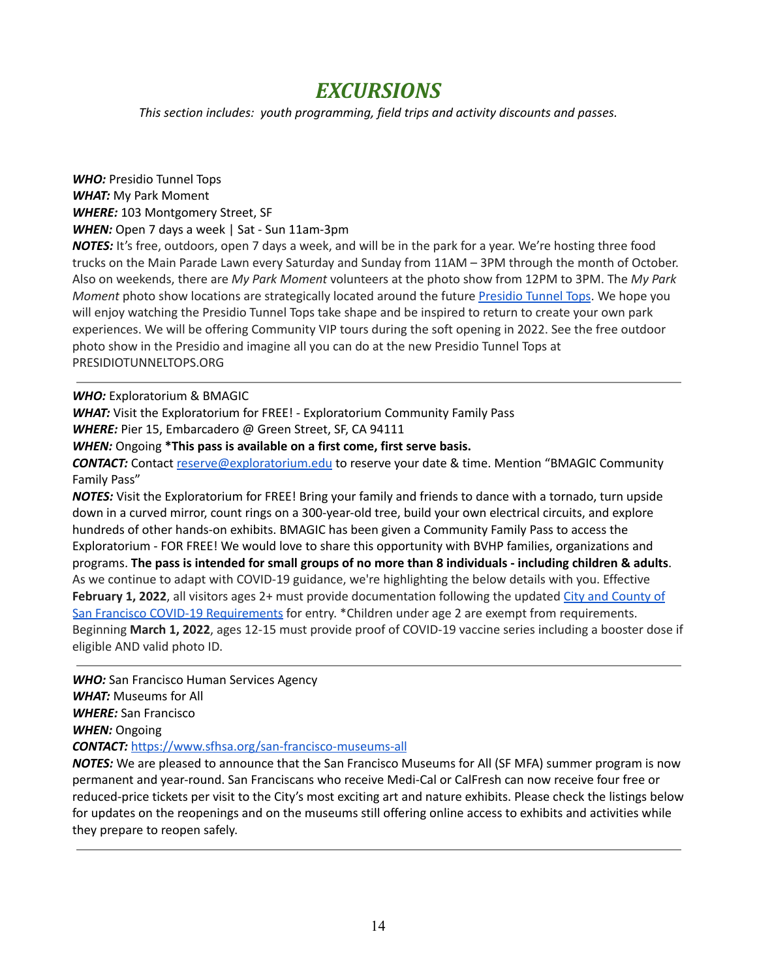### *EXCURSIONS*

*This section includes: youth programming, field trips and activity discounts and passes.*

*WHO:* Presidio Tunnel Tops *WHAT:* My Park Moment *WHERE:* 103 Montgomery Street, SF *WHEN:* Open 7 days a week | Sat - Sun 11am-3pm

*NOTES:* It's free, outdoors, open 7 days a week, and will be in the park for a year. We're hosting three food trucks on the Main Parade Lawn every Saturday and Sunday from 11AM – 3PM through the month of October. Also on weekends, there are *My Park Moment* volunteers at the photo show from 12PM to 3PM. The *My Park Moment* photo show locations are strategically located around the future [Presidio](https://www.presidiotunneltops.gov/) Tunnel Tops. We hope you will enjoy watching the Presidio Tunnel Tops take shape and be inspired to return to create your own park experiences. We will be offering Community VIP tours during the soft opening in 2022. See the free outdoor photo show in the Presidio and imagine all you can do at the new Presidio Tunnel Tops at PRESIDIOTUNNELTOPS.ORG

#### *WHO:* Exploratorium & BMAGIC

*WHAT:* Visit the Exploratorium for FREE! - Exploratorium Community Family Pass *WHERE:* Pier 15, Embarcadero @ Green Street, SF, CA 94111

*WHEN:* Ongoing **\*This pass is available on a first come, first serve basis.**

*CONTACT:* Contact [reserve@exploratorium.edu](mailto:reserve@exploratorium.edu) to reserve your date & time. Mention "BMAGIC Community Family Pass"

*NOTES:* Visit the Exploratorium for FREE! Bring your family and friends to dance with a tornado, turn upside down in a curved mirror, count rings on a 300-year-old tree, build your own electrical circuits, and explore hundreds of other hands-on exhibits. BMAGIC has been given a Community Family Pass to access the Exploratorium - FOR FREE! We would love to share this opportunity with BVHP families, organizations and programs. The pass is intended for small groups of no more than 8 individuals - including children & adults. As we continue to adapt with COVID-19 guidance, we're highlighting the below details with you. Effective **February 1, 2022**, all visitors ages 2+ must provide documentation following the updated City and [County](https://www.exploratorium.edu/visit/faq?j=1211956&sfmc_sub=228674018&l=59_HTML&u=50408718&mid=7227180&jb=1&utm_source=Exacttarget&utm_medium=email&utm_campaign=CFP+%e2%80%93+2202+Vaccine+Requirement+%e2%80%93+February) of San Francisco COVID-19 [Requirements](https://www.exploratorium.edu/visit/faq?j=1211956&sfmc_sub=228674018&l=59_HTML&u=50408718&mid=7227180&jb=1&utm_source=Exacttarget&utm_medium=email&utm_campaign=CFP+%e2%80%93+2202+Vaccine+Requirement+%e2%80%93+February) for entry. \*Children under age 2 are exempt from requirements. Beginning **March 1, 2022**, ages 12-15 must provide proof of COVID-19 vaccine series including a booster dose if eligible AND valid photo ID.

*WHO:* San Francisco Human Services Agency *WHAT:* Museums for All *WHERE:* San Francisco *WHEN:* Ongoing *CONTACT:* <https://www.sfhsa.org/san-francisco-museums-all>

*NOTES:* We are pleased to announce that the San Francisco Museums for All (SF MFA) summer program is now permanent and year-round. San Franciscans who receive Medi-Cal or CalFresh can now receive four free or reduced-price tickets per visit to the City's most exciting art and nature exhibits. Please check the listings below for updates on the reopenings and on the museums still offering online access to exhibits and activities while they prepare to reopen safely.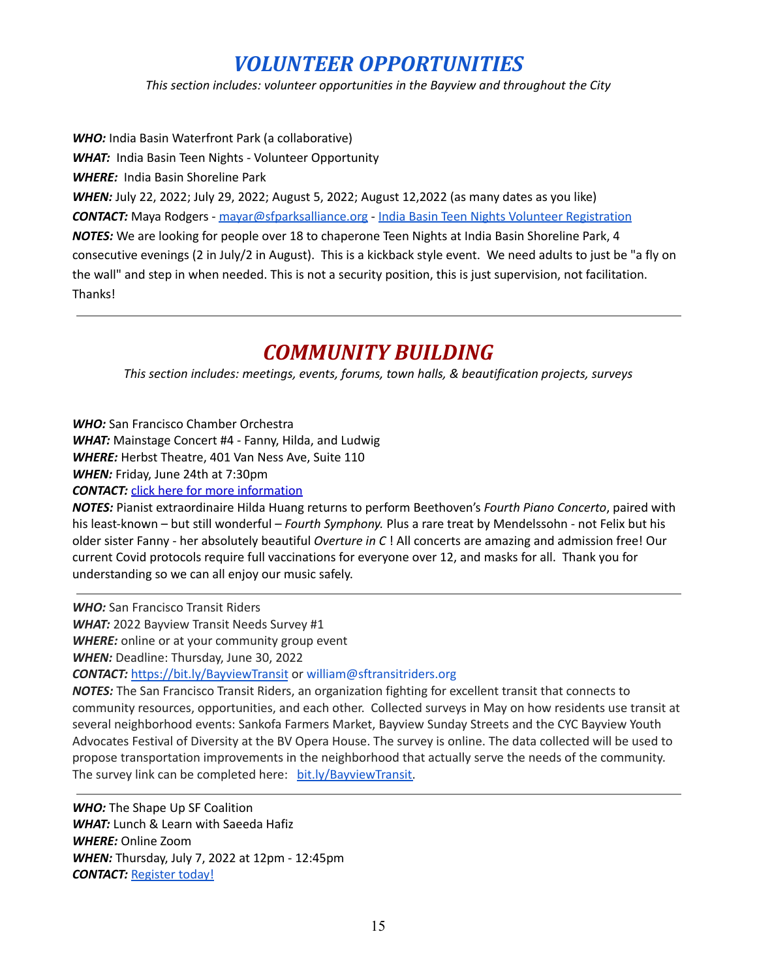# *VOLUNTEER OPPORTUNITIES*

*This section includes: volunteer opportunities in the Bayview and throughout the City*

*WHO:* India Basin Waterfront Park (a collaborative) *WHAT:* India Basin Teen Nights - Volunteer Opportunity *WHERE:* India Basin Shoreline Park *WHEN:* July 22, 2022; July 29, 2022; August 5, 2022; August 12,2022 (as many dates as you like) *CONTACT:* Maya Rodgers - [mayar@sfparksalliance.org](mailto:mayar@sfparksalliance.org) - India Basin Teen Nights Volunteer [Registration](https://forms.gle/whJvBFDtkGEGCM9FA) *NOTES:* We are looking for people over 18 to chaperone Teen Nights at India Basin Shoreline Park, 4 consecutive evenings (2 in July/2 in August). This is a kickback style event. We need adults to just be "a fly on the wall" and step in when needed. This is not a security position, this is just supervision, not facilitation. Thanks!

## *COMMUNITY BUILDING*

*This section includes: meetings, events, forums, town halls, & beautification projects, surveys*

*WHO:* San Francisco Chamber Orchestra

*WHAT:* Mainstage Concert #4 - Fanny, Hilda, and Ludwig

*WHERE:* Herbst Theatre, 401 Van Ness Ave, Suite 110

*WHEN:* Friday, June 24th at 7:30pm

**CONTACT:** click here for more [information](https://thesfco.us2.list-manage.com/track/click?u=9085e47516d90aa2b171dc284&id=0cabaeb84d&e=c8024454cb)

*NOTES:* Pianist extraordinaire Hilda Huang returns to perform Beethoven's *Fourth Piano Concerto*, paired with his least-known – but still wonderful – *Fourth Symphony.* Plus a rare treat by Mendelssohn - not Felix but his older sister Fanny - her absolutely beautiful *Overture in C* ! All concerts are amazing and admission free! Our current Covid protocols require full vaccinations for everyone over 12, and masks for all. Thank you for understanding so we can all enjoy our music safely.

*WHO:* San Francisco Transit Riders

*WHAT:* 2022 Bayview Transit Needs Survey #1

*WHERE:* online or at your community group event

*WHEN:* Deadline: Thursday, June 30, 2022

*CONTACT:* <https://bit.ly/BayviewTransit> or william@sftransitriders.org

*NOTES:* The San Francisco Transit Riders, an organization fighting for excellent transit that connects to community resources, opportunities, and each other. Collected surveys in May on how residents use transit at several neighborhood events: Sankofa Farmers Market, Bayview Sunday Streets and the CYC Bayview Youth Advocates Festival of Diversity at the BV Opera House. The survey is online. The data collected will be used to propose transportation improvements in the neighborhood that actually serve the needs of the community. The survey link can be completed here: [bit.ly/BayviewTransit.](http://bit.ly/BayviewTransit)

*WHO:* The Shape Up SF Coalition *WHAT:* Lunch & Learn with Saeeda Hafiz *WHERE:* Online Zoom *WHEN:* Thursday, July 7, 2022 at 12pm - 12:45pm *CONTACT:* [Register](https://us02web.zoom.us/meeting/register/tZ0uc-CgqD8jGNDGGEkisn85ynrflVNcbPSJ) today!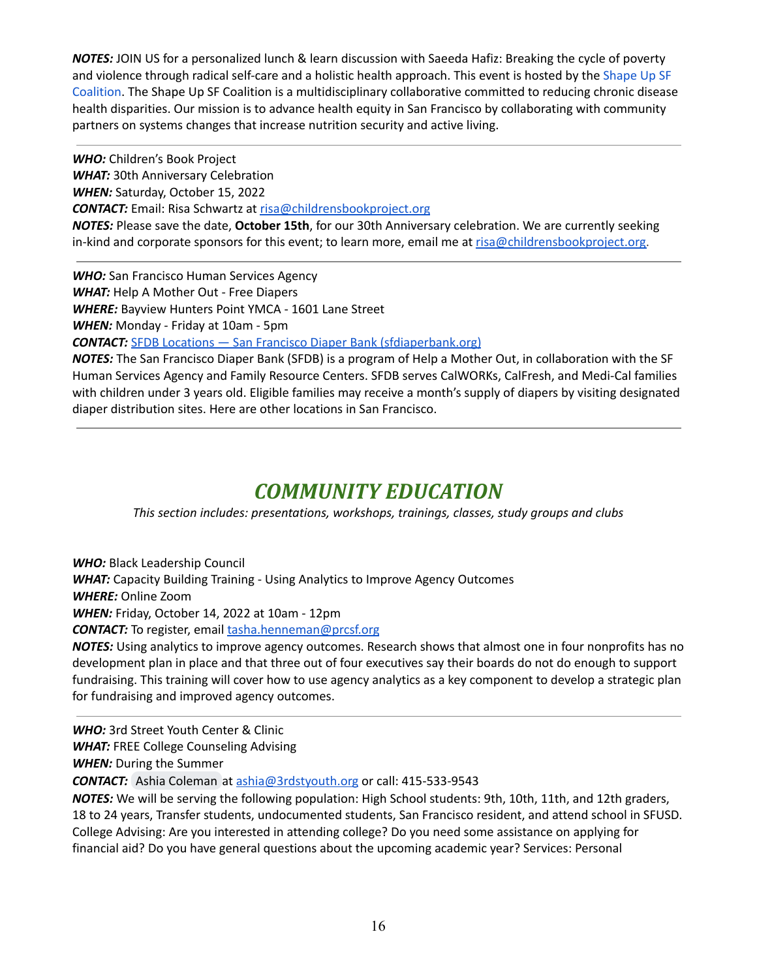*NOTES:* JOIN US for a personalized lunch & learn discussion with Saeeda Hafiz: Breaking the cycle of poverty and violence through radical self-care and a holistic health approach. This event is hosted by the [Shape](http://www.shapeupsfcoalition.org/) Up SF [Coalition](http://www.shapeupsfcoalition.org/). The Shape Up SF Coalition is a multidisciplinary collaborative committed to reducing chronic disease health disparities. Our mission is to advance health equity in San Francisco by collaborating with community partners on systems changes that increase nutrition security and active living.

*WHO:* Children's Book Project *WHAT:* 30th Anniversary Celebration *WHEN:* Saturday, October 15, 2022 *CONTACT:* Email: Risa Schwartz at risa@childrensbookproject.org *NOTES:* Please save the date, **October 15th**, for our 30th Anniversary celebration. We are currently seeking in-kind and corporate sponsors for this event; to learn more, email me at risa@childrensbookproject.org.

*WHO:* San Francisco Human Services Agency *WHAT:* Help A Mother Out - Free Diapers *WHERE:* Bayview Hunters Point YMCA - 1601 Lane Street *WHEN:* Monday - Friday at 10am - 5pm

*CONTACT:* SFDB Locations — San Francisco Diaper Bank [\(sfdiaperbank.org\)](http://www.sfdiaperbank.org/locations)

*NOTES:* The San Francisco Diaper Bank (SFDB) is a program of Help a Mother Out, in collaboration with the SF Human Services Agency and Family Resource Centers. SFDB serves CalWORKs, CalFresh, and Medi-Cal families with children under 3 years old. Eligible families may receive a month's supply of diapers by visiting designated diaper distribution sites. Here are other locations in San Francisco.

## *COMMUNITY EDUCATION*

*This section includes: presentations, workshops, trainings, classes, study groups and clubs*

*WHO:* Black Leadership Council

*WHAT:* Capacity Building Training - Using Analytics to Improve Agency Outcomes

*WHERE:* Online Zoom

*WHEN:* Friday, October 14, 2022 at 10am - 12pm

**CONTACT:** To register, email [tasha.henneman@prcsf.org](mailto:tasha.henneman@prcsf.org)

*NOTES:* Using analytics to improve agency outcomes. Research shows that almost one in four nonprofits has no development plan in place and that three out of four executives say their boards do not do enough to support fundraising. This training will cover how to use agency analytics as a key component to develop a strategic plan for fundraising and improved agency outcomes.

*WHO:* 3rd Street Youth Center & Clinic

*WHAT:* FREE College Counseling Advising

*WHEN:* During the Summer

*CONTACT:* Ashia [Coleman](mailto:ashia@3rdstyouth.org) at [ashia@3rdstyouth.org](mailto:ashia@3rdstyouth.org) or call: 415-533-9543

*NOTES:* We will be serving the following population: High School students: 9th, 10th, 11th, and 12th graders, 18 to 24 years, Transfer students, undocumented students, San Francisco resident, and attend school in SFUSD. College Advising: Are you interested in attending college? Do you need some assistance on applying for financial aid? Do you have general questions about the upcoming academic year? Services: Personal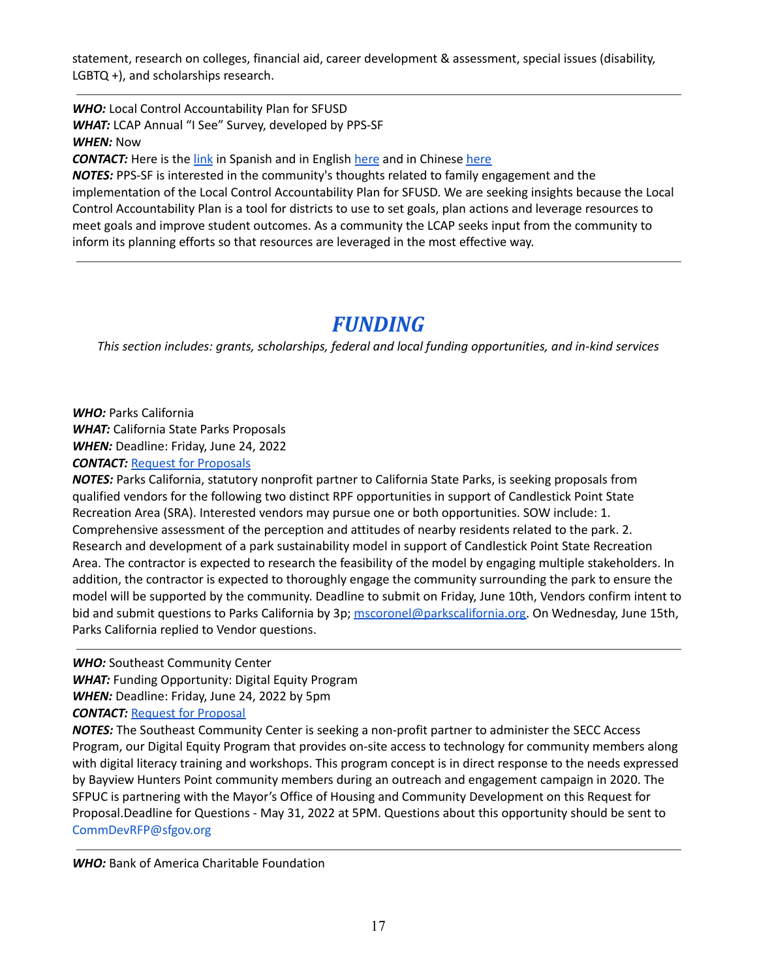statement, research on colleges, financial aid, career development & assessment, special issues (disability, LGBTQ +), and scholarships research.

*WHO:* Local Control Accountability Plan for SFUSD *WHAT:* LCAP Annual "I See" Survey, developed by PPS-SF *WHEN:* Now

**CONTACT:** Here is the [link](https://docs.google.com/forms/d/e/1FAIpQLSdv24xDi00-itpmNwj_tKH_bJcqEb9D7HBzmk6wQCzFC7OyzA/viewform?usp=sf_link) in Spanish and in English [here](https://docs.google.com/forms/d/e/1FAIpQLSdgrApyLu-2Q9UTf9WLDo05ik3lb4lfQ-9n83YjF_rub2-hVw/viewform?usp=sf_link) and in Chinese here

*NOTES:* PPS-SF is interested in the community's thoughts related to family engagement and the implementation of the Local Control Accountability Plan for SFUSD. We are seeking insights because the Local Control Accountability Plan is a tool for districts to use to set goals, plan actions and leverage resources to meet goals and improve student outcomes. As a community the LCAP seeks input from the community to inform its planning efforts so that resources are leveraged in the most effective way.

### *FUNDING*

*This section includes: grants, scholarships, federal and local funding opportunities, and in-kind services*

*WHO:* Parks California *WHAT:* California State Parks Proposals *WHEN:* Deadline: Friday, June 24, 2022 **CONTACT:** Request for [Proposals](https://parkscalifornia.org/jobs/rfp_consultant/)

*NOTES:* Parks California, statutory nonprofit partner to California State Parks, is seeking proposals from qualified vendors for the following two distinct RPF opportunities in support of Candlestick Point State Recreation Area (SRA). Interested vendors may pursue one or both opportunities. SOW include: 1. Comprehensive assessment of the perception and attitudes of nearby residents related to the park. 2. Research and development of a park sustainability model in support of Candlestick Point State Recreation Area. The contractor is expected to research the feasibility of the model by engaging multiple stakeholders. In addition, the contractor is expected to thoroughly engage the community surrounding the park to ensure the model will be supported by the community. Deadline to submit on Friday, June 10th, Vendors confirm intent to bid and submit questions to Parks California by 3p; [mscoronel@parkscalifornia.org.](mailto:mscoronel@parkscalifornia.org) On Wednesday, June 15th, Parks California replied to Vendor questions.

*WHO:* Southeast Community Center

*WHAT:* Funding Opportunity: Digital Equity Program

*WHEN:* Deadline: Friday, June 24, 2022 by 5pm

**CONTACT: Request for [Proposal](https://sf.gov/information/southeast-community-center-access-grant-request-proposals-fy2021-22-2021-07)** 

*NOTES:* The Southeast Community Center is seeking a non-profit partner to administer the SECC Access Program, our Digital Equity Program that provides on-site access to technology for community members along with digital literacy training and workshops. This program concept is in direct response to the needs expressed by Bayview Hunters Point community members during an outreach and engagement campaign in 2020. The SFPUC is partnering with the Mayor's Office of Housing and Community Development on this Request for Proposal.Deadline for Questions - May 31, 2022 at 5PM. Questions about this opportunity should be sent to CommDevRFP@sfgov.org

*WHO:* Bank of America Charitable Foundation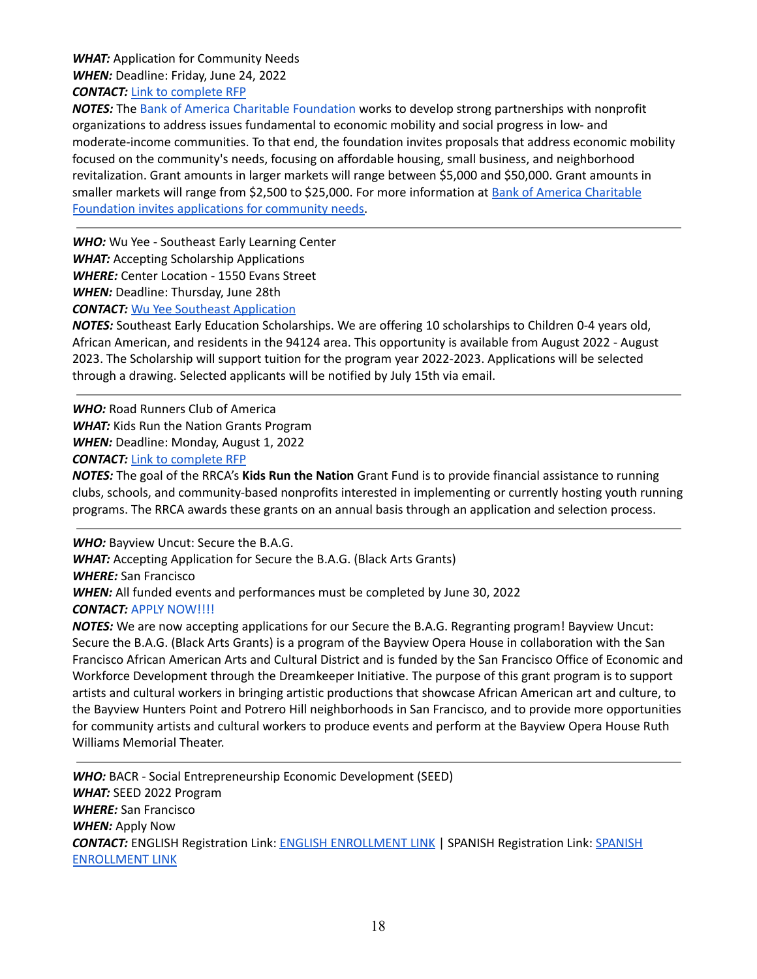*WHAT:* Application for Community Needs *WHEN:* Deadline: Friday, June 24, 2022 *CONTACT:* Link to [complete](https://about.bankofamerica.com/en/making-an-impact/charitable-foundation-funding) RFP

*NOTES:* The Bank of America Charitable [Foundation](https://about.bankofamerica.com/en-us/what-guides-us/find-grants-sponsorships.html) works to develop strong partnerships with nonprofit organizations to address issues fundamental to economic mobility and social progress in low- and moderate-income communities. To that end, the foundation invites proposals that address economic mobility focused on the community's needs, focusing on affordable housing, small business, and neighborhood revitalization. Grant amounts in larger markets will range between \$5,000 and \$50,000. Grant amounts in smaller markets will range from \$2,500 to \$25,000. For more information at Bank of America [Charitable](http://url7886.alerts.foundationcenter.org/ls/click?upn=aI9bK5a2uLwdGqvYC42-2Fu0cpNCAjSv8NLyONA8HUc-2FuSFCk-2BATvjW2NCXrD5Rrx-2Bm0ELGLoElH88aKoRLLoLEp5Gfxk8272kPbk6-2B3d-2FKs6ZEx4EVBMoH1PIPP7YymL-2FnpZ5cCm9FjVPHN3n-2F0esqGZoWXGVhhvnheK6gsvyD-2B3eqslBJDbDfZ3A5o4fyvcbSNm1ywJPkpgGlgNeF6rzc9b93IEpoR9NMpI5-2F-2FL7s5ZlmpqK2cqTa4NXYehq31lPz1d-2FEFvCfOCYSQa9Bb1d-2Fg-3D-3DMWL-_4zFoLFfXj-2BgMoblTrXoTB93r1CQyj2WjmmKHfLJLHCNeB29cM9knKO9qrNSt1-2BVmYuDlwPc5vNtu1NrgqH5M5Xz2-2FR7eZdfiPWGGHRqAGOoZbAXX8iVIA33Nl0lAWwsY4-2FEaGlv-2FgX64ArMRv6MKTRN1s9tYHs8UA858Pe6Mw7BcpZ6ebcMplF1pZwXpcZS5qjfPiB6ZssEo-2FYCdNbkSTMlOiFDOsg-2FVwiZUcbaTp7Z-2FWvZmWl2-2FPOkuuz3K7nvLSX4RVHgv88TibgUoK4Vo0uC5fpC-2B-2FrE0Om3e7xyYIK6g-2BOegu5naKQ3m5H6yREHwEeX1aa19rT0V6VMDK1XPYQ-3D-3D) Foundation invites [applications](http://url7886.alerts.foundationcenter.org/ls/click?upn=aI9bK5a2uLwdGqvYC42-2Fu0cpNCAjSv8NLyONA8HUc-2FuSFCk-2BATvjW2NCXrD5Rrx-2Bm0ELGLoElH88aKoRLLoLEp5Gfxk8272kPbk6-2B3d-2FKs6ZEx4EVBMoH1PIPP7YymL-2FnpZ5cCm9FjVPHN3n-2F0esqGZoWXGVhhvnheK6gsvyD-2B3eqslBJDbDfZ3A5o4fyvcbSNm1ywJPkpgGlgNeF6rzc9b93IEpoR9NMpI5-2F-2FL7s5ZlmpqK2cqTa4NXYehq31lPz1d-2FEFvCfOCYSQa9Bb1d-2Fg-3D-3DMWL-_4zFoLFfXj-2BgMoblTrXoTB93r1CQyj2WjmmKHfLJLHCNeB29cM9knKO9qrNSt1-2BVmYuDlwPc5vNtu1NrgqH5M5Xz2-2FR7eZdfiPWGGHRqAGOoZbAXX8iVIA33Nl0lAWwsY4-2FEaGlv-2FgX64ArMRv6MKTRN1s9tYHs8UA858Pe6Mw7BcpZ6ebcMplF1pZwXpcZS5qjfPiB6ZssEo-2FYCdNbkSTMlOiFDOsg-2FVwiZUcbaTp7Z-2FWvZmWl2-2FPOkuuz3K7nvLSX4RVHgv88TibgUoK4Vo0uC5fpC-2B-2FrE0Om3e7xyYIK6g-2BOegu5naKQ3m5H6yREHwEeX1aa19rT0V6VMDK1XPYQ-3D-3D) for community needs.

*WHO:* Wu Yee - Southeast Early Learning Center *WHAT:* Accepting Scholarship Applications *WHERE:* Center Location - 1550 Evans Street *WHEN:* Deadline: Thursday, June 28th **CONTACT:** Wu Yee Southeast [Application](https://docs.google.com/forms/d/e/1FAIpQLSf_2AcVq3Fl5N_0LfGqA3a77LWKlWoHA8nLjWgcWLcGe2GJqg/viewform)

*NOTES:* Southeast Early Education Scholarships. We are offering 10 scholarships to Children 0-4 years old, African American, and residents in the 94124 area. This opportunity is available from August 2022 - August 2023. The Scholarship will support tuition for the program year 2022-2023. Applications will be selected through a drawing. Selected applicants will be notified by July 15th via email.

*WHO:* Road Runners Club of America *WHAT:* Kids Run the Nation Grants Program *WHEN:* Deadline: Monday, August 1, 2022 *CONTACT:* Link to [complete](https://www.rrca.org/programs/kids-run-the-nation/grant-fund/) RFP

*NOTES:* The goal of the RRCA's **Kids Run the Nation** Grant Fund is to provide financial assistance to running clubs, schools, and community-based nonprofits interested in implementing or currently hosting youth running programs. The RRCA awards these grants on an annual basis through an application and selection process.

*WHO:* Bayview Uncut: Secure the B.A.G.

*WHAT:* Accepting Application for Secure the B.A.G. (Black Arts Grants) *WHERE:* San Francisco *WHEN:* All funded events and performances must be completed by June 30, 2022

*CONTACT:* APPLY [NOW!!!!](https://bvoh.us19.list-manage.com/track/click?u=1daad4a33a741412315ad0463&id=b6ed7e1adc&e=6dc0c21e6f)

*NOTES:* We are now accepting applications for our Secure the B.A.G. Regranting program! Bayview Uncut: Secure the B.A.G. (Black Arts Grants) is a program of the Bayview Opera House in collaboration with the San Francisco African American Arts and Cultural District and is funded by the San Francisco Office of Economic and Workforce Development through the Dreamkeeper Initiative. The purpose of this grant program is to support artists and cultural workers in bringing artistic productions that showcase African American art and culture, to the Bayview Hunters Point and Potrero Hill neighborhoods in San Francisco, and to provide more opportunities for community artists and cultural workers to produce events and perform at the Bayview Opera House Ruth Williams Memorial Theater.

*WHO:* BACR - Social Entrepreneurship Economic Development (SEED) *WHAT:* SEED 2022 Program *WHERE:* San Francisco *WHEN:* Apply Now *CONTACT:* ENGLISH Registration Link: ENGLISH [ENROLLMENT](https://forms.gle/1TDgVdNvCzhCnCSMA) LINK | SPANISH Registration Link: [SPANISH](https://forms.gle/N4LZYfc18NMFeJFo8) [ENROLLMENT](https://forms.gle/N4LZYfc18NMFeJFo8) LINK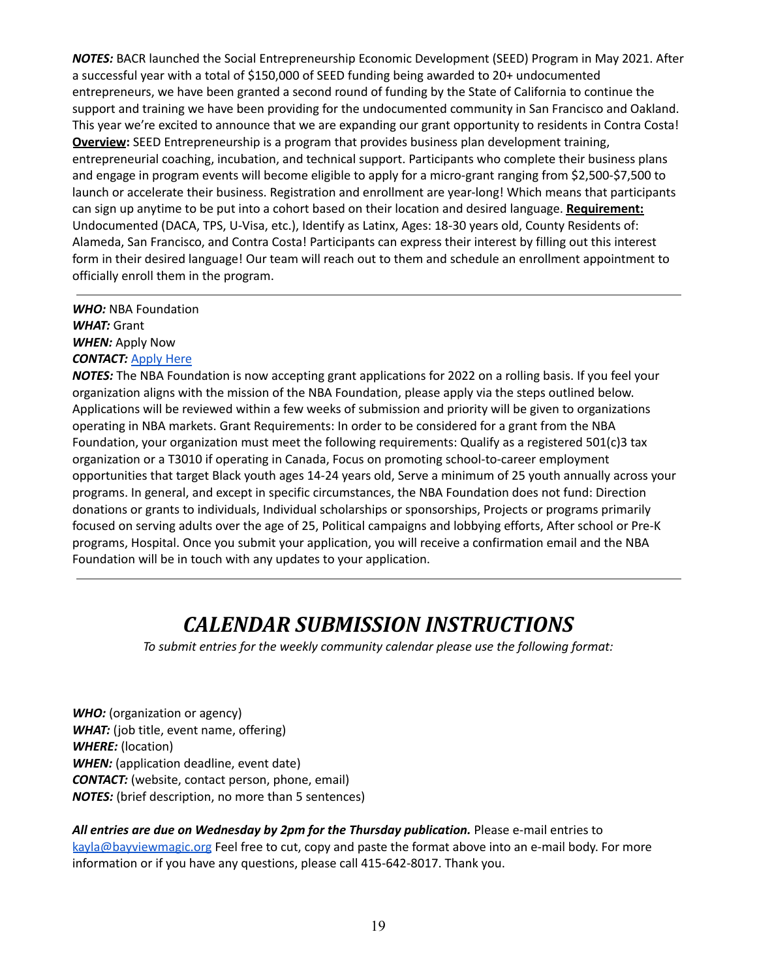*NOTES:* BACR launched the Social Entrepreneurship Economic Development (SEED) Program in May 2021. After a successful year with a total of \$150,000 of SEED funding being awarded to 20+ undocumented entrepreneurs, we have been granted a second round of funding by the State of California to continue the support and training we have been providing for the undocumented community in San Francisco and Oakland. This year we're excited to announce that we are expanding our grant opportunity to residents in Contra Costa! **Overview:** SEED Entrepreneurship is a program that provides business plan development training, entrepreneurial coaching, incubation, and technical support. Participants who complete their business plans and engage in program events will become eligible to apply for a micro-grant ranging from \$2,500-\$7,500 to launch or accelerate their business. Registration and enrollment are year-long! Which means that participants can sign up anytime to be put into a cohort based on their location and desired language. **Requirement:** Undocumented (DACA, TPS, U-Visa, etc.), Identify as Latinx, Ages: 18-30 years old, County Residents of: Alameda, San Francisco, and Contra Costa! Participants can express their interest by filling out this interest form in their desired language! Our team will reach out to them and schedule an enrollment appointment to officially enroll them in the program.

#### *WHO:* NBA Foundation *WHAT:* Grant *WHEN:* Apply Now *CONTACT:* [Apply](https://nbafoundation.fluxx.io/user_sessions/new) Here

*NOTES:* The NBA Foundation is now accepting grant applications for 2022 on a rolling basis. If you feel your organization aligns with the mission of the NBA Foundation, please apply via the steps outlined below. Applications will be reviewed within a few weeks of submission and priority will be given to organizations operating in NBA markets. Grant Requirements: In order to be considered for a grant from the NBA Foundation, your organization must meet the following requirements: Qualify as a registered 501(c)3 tax organization or a T3010 if operating in Canada, Focus on promoting school-to-career employment opportunities that target Black youth ages 14-24 years old, Serve a minimum of 25 youth annually across your programs. In general, and except in specific circumstances, the NBA Foundation does not fund: Direction donations or grants to individuals, Individual scholarships or sponsorships, Projects or programs primarily focused on serving adults over the age of 25, Political campaigns and lobbying efforts, After school or Pre-K programs, Hospital. Once you submit your application, you will receive a confirmation email and the NBA Foundation will be in touch with any updates to your application.

# *CALENDAR SUBMISSION INSTRUCTIONS*

*To submit entries for the weekly community calendar please use the following format:*

*WHO:* (organization or agency) *WHAT:* (job title, event name, offering) *WHERE:* (location) *WHEN:* (application deadline, event date) *CONTACT:* (website, contact person, phone, email) *NOTES:* (brief description, no more than 5 sentences)

*All entries are due on Wednesday by 2pm for the Thursday publication.* Please e-mail entries to [kayla@bayviewmagic.org](mailto:kayla@bayviewmagic.org) Feel free to cut, copy and paste the format above into an e-mail body. For more information or if you have any questions, please call 415-642-8017. Thank you.